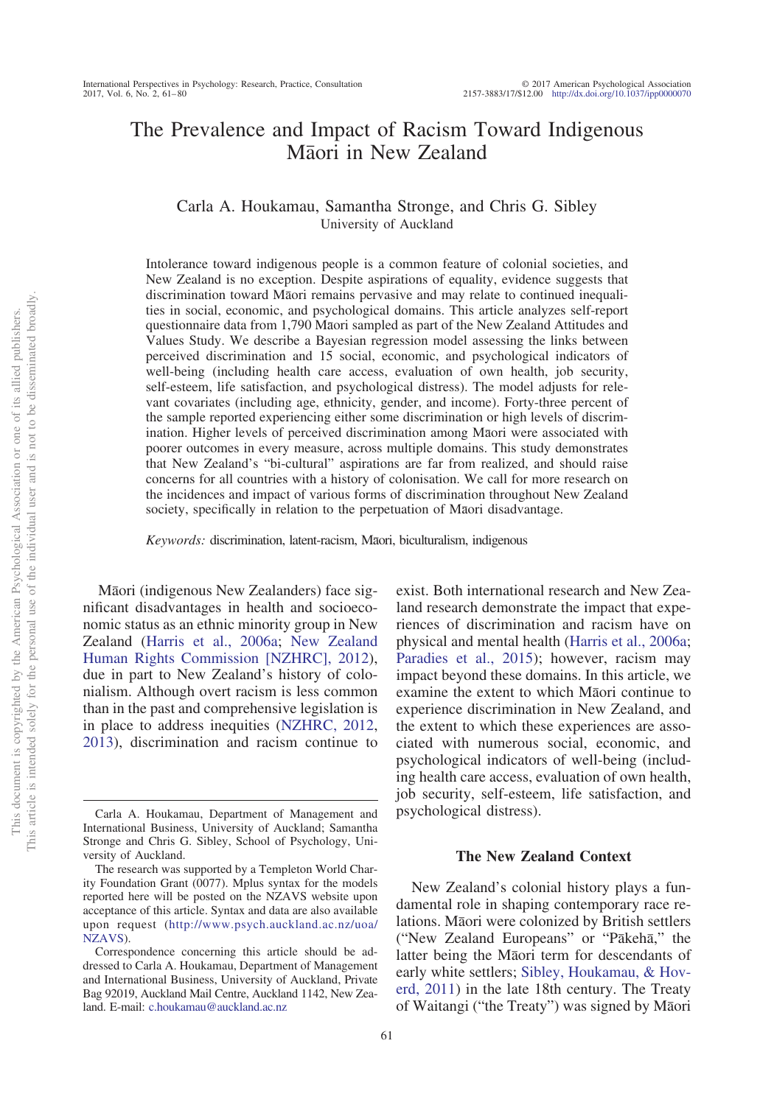# The Prevalence and Impact of Racism Toward Indigenous Māori in New Zealand

# Carla A. Houkamau, Samantha Stronge, and Chris G. Sibley University of Auckland

Intolerance toward indigenous people is a common feature of colonial societies, and New Zealand is no exception. Despite aspirations of equality, evidence suggests that discrimination toward Māori remains pervasive and may relate to continued inequalities in social, economic, and psychological domains. This article analyzes self-report questionnaire data from 1,790 Māori sampled as part of the New Zealand Attitudes and Values Study. We describe a Bayesian regression model assessing the links between perceived discrimination and 15 social, economic, and psychological indicators of well-being (including health care access, evaluation of own health, job security, self-esteem, life satisfaction, and psychological distress). The model adjusts for relevant covariates (including age, ethnicity, gender, and income). Forty-three percent of the sample reported experiencing either some discrimination or high levels of discrimination. Higher levels of perceived discrimination among Māori were associated with poorer outcomes in every measure, across multiple domains. This study demonstrates that New Zealand's "bi-cultural" aspirations are far from realized, and should raise concerns for all countries with a history of colonisation. We call for more research on the incidences and impact of various forms of discrimination throughout New Zealand society, specifically in relation to the perpetuation of Maori disadvantage.

Keywords: discrimination, latent-racism, Māori, biculturalism, indigenous

Māori (indigenous New Zealanders) face significant disadvantages in health and socioeconomic status as an ethnic minority group in New Zealand [\(Harris et al., 2006a;](#page-16-0) [New Zealand](#page-18-0) [Human Rights Commission \[NZHRC\], 2012\)](#page-18-0), due in part to New Zealand's history of colonialism. Although overt racism is less common than in the past and comprehensive legislation is in place to address inequities [\(NZHRC, 2012,](#page-18-0) [2013\)](#page-18-1), discrimination and racism continue to exist. Both international research and New Zealand research demonstrate the impact that experiences of discrimination and racism have on physical and mental health [\(Harris et al., 2006a;](#page-16-0) [Paradies et al., 2015\)](#page-18-2); however, racism may impact beyond these domains. In this article, we examine the extent to which Māori continue to experience discrimination in New Zealand, and the extent to which these experiences are associated with numerous social, economic, and psychological indicators of well-being (including health care access, evaluation of own health, job security, self-esteem, life satisfaction, and psychological distress).

### **The New Zealand Context**

New Zealand's colonial history plays a fundamental role in shaping contemporary race relations. Māori were colonized by British settlers ("New Zealand Europeans" or "Pākehā," the latter being the Māori term for descendants of early white settlers; [Sibley, Houkamau, & Hov](#page-18-3)[erd, 2011\)](#page-18-3) in the late 18th century. The Treaty of Waitangi ("the Treaty") was signed by Māori

Carla A. Houkamau, Department of Management and International Business, University of Auckland; Samantha Stronge and Chris G. Sibley, School of Psychology, University of Auckland.

The research was supported by a Templeton World Charity Foundation Grant (0077). Mplus syntax for the models reported here will be posted on the NZAVS website upon acceptance of this article. Syntax and data are also available upon request [\(http://www.psych.auckland.ac.nz/uoa/](http://www.psych.auckland.ac.nz/uoa/NZAVS) [NZAVS\)](http://www.psych.auckland.ac.nz/uoa/NZAVS).

Correspondence concerning this article should be addressed to Carla A. Houkamau, Department of Management and International Business, University of Auckland, Private Bag 92019, Auckland Mail Centre, Auckland 1142, New Zealand. E-mail: [c.houkamau@auckland.ac.nz](mailto:c.houkamau@auckland.ac.nz)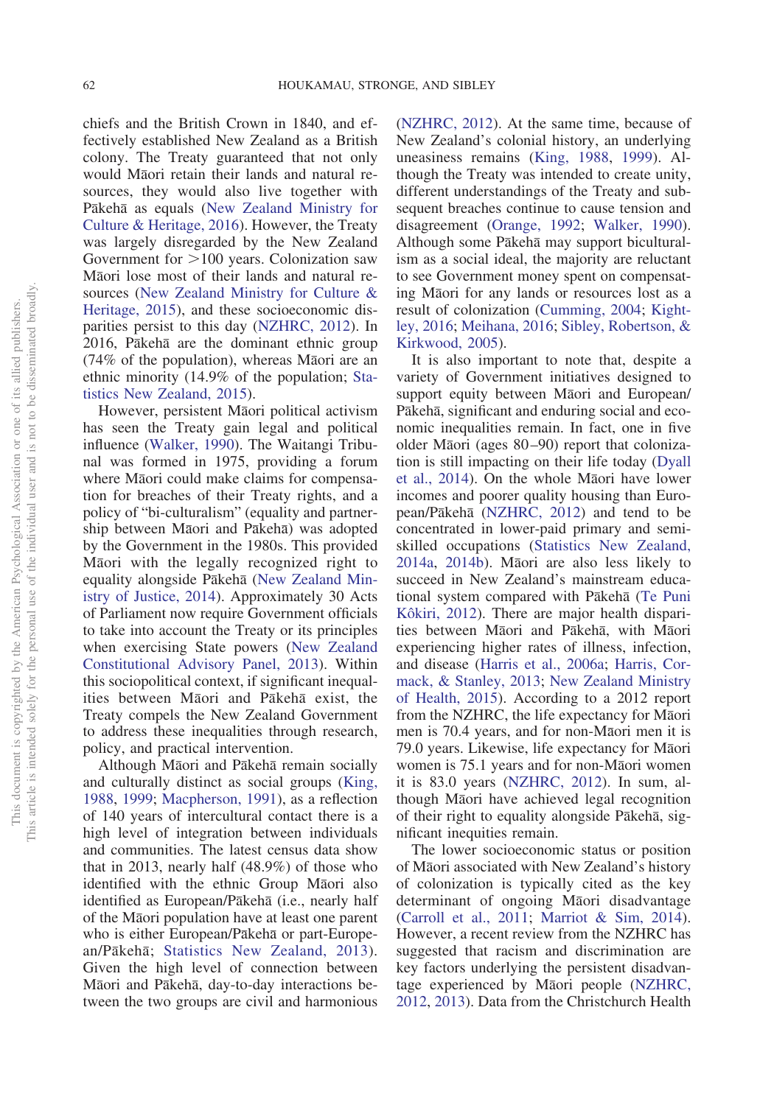chiefs and the British Crown in 1840, and effectively established New Zealand as a British colony. The Treaty guaranteed that not only would Māori retain their lands and natural resources, they would also live together with Pākehā as equals [\(New Zealand Ministry for](#page-18-4) [Culture & Heritage, 2016\)](#page-18-4). However, the Treaty was largely disregarded by the New Zealand Government for  $>100$  years. Colonization saw Māori lose most of their lands and natural resources [\(New Zealand Ministry for Culture &](#page-18-5) [Heritage, 2015\)](#page-18-5), and these socioeconomic disparities persist to this day [\(NZHRC, 2012\)](#page-18-0). In 2016, Pākehā are the dominant ethnic group (74% of the population), whereas Māori are an ethnic minority (14.9% of the population; [Sta](#page-19-0)[tistics New Zealand, 2015\)](#page-19-0).

However, persistent Māori political activism has seen the Treaty gain legal and political influence [\(Walker, 1990\)](#page-19-1). The Waitangi Tribunal was formed in 1975, providing a forum where Māori could make claims for compensation for breaches of their Treaty rights, and a policy of "bi-culturalism" (equality and partnership between Māori and Pākehā) was adopted by the Government in the 1980s. This provided Māori with the legally recognized right to equality alongside Pākehā [\(New Zealand Min](#page-18-6)[istry of Justice, 2014\)](#page-18-6). Approximately 30 Acts of Parliament now require Government officials to take into account the Treaty or its principles when exercising State powers [\(New Zealand](#page-17-0) [Constitutional Advisory Panel, 2013\)](#page-17-0). Within this sociopolitical context, if significant inequalities between Māori and Pākehā exist, the Treaty compels the New Zealand Government to address these inequalities through research, policy, and practical intervention.

Although Māori and Pākehā remain socially and culturally distinct as social groups [\(King,](#page-17-1) [1988,](#page-17-1) [1999;](#page-17-2) [Macpherson, 1991\)](#page-17-3), as a reflection of 140 years of intercultural contact there is a high level of integration between individuals and communities. The latest census data show that in 2013, nearly half (48.9%) of those who identified with the ethnic Group Māori also identified as European/Pākehā (i.e., nearly half of the Māori population have at least one parent who is either European/Pākehā or part-Europe-an/Pākehā; [Statistics New Zealand, 2013\)](#page-19-2). Given the high level of connection between Māori and Pākehā, day-to-day interactions between the two groups are civil and harmonious [\(NZHRC, 2012\)](#page-18-0). At the same time, because of New Zealand's colonial history, an underlying uneasiness remains [\(King, 1988,](#page-17-1) [1999\)](#page-17-2). Although the Treaty was intended to create unity, different understandings of the Treaty and subsequent breaches continue to cause tension and disagreement [\(Orange, 1992;](#page-18-7) [Walker, 1990\)](#page-19-1). Although some Pākehā may support biculturalism as a social ideal, the majority are reluctant to see Government money spent on compensating Māori for any lands or resources lost as a result of colonization [\(Cumming, 2004;](#page-15-0) [Kight](#page-16-1)[ley, 2016;](#page-16-1) [Meihana, 2016;](#page-17-4) [Sibley, Robertson, &](#page-18-8) [Kirkwood, 2005\)](#page-18-8).

It is also important to note that, despite a variety of Government initiatives designed to support equity between Māori and European/ Pākehā, significant and enduring social and economic inequalities remain. In fact, one in five older Māori (ages 80-90) report that colonization is still impacting on their life today [\(Dyall](#page-15-1) [et al., 2014\)](#page-15-1). On the whole Māori have lower incomes and poorer quality housing than Euro-pean/Pākehā [\(NZHRC, 2012\)](#page-18-0) and tend to be concentrated in lower-paid primary and semiskilled occupations [\(Statistics New Zealand,](#page-19-3) [2014a,](#page-19-3) [2014b\)](#page-19-4). Māori are also less likely to succeed in New Zealand's mainstream educa-tional system compared with Pākehā [\(Te Puni](#page-19-5) [Kôkiri, 2012\)](#page-19-5). There are major health disparities between Māori and Pākehā, with Māori experiencing higher rates of illness, infection, and disease [\(Harris et al., 2006a;](#page-16-0) [Harris, Cor](#page-16-2)[mack, & Stanley, 2013;](#page-16-2) [New Zealand Ministry](#page-18-9) [of Health, 2015\)](#page-18-9). According to a 2012 report from the NZHRC, the life expectancy for Māori men is 70.4 years, and for non-Māori men it is 79.0 years. Likewise, life expectancy for Māori women is 75.1 years and for non-Māori women it is 83.0 years [\(NZHRC, 2012\)](#page-18-0). In sum, although Māori have achieved legal recognition of their right to equality alongside Pākehā, significant inequities remain.

The lower socioeconomic status or position of Māori associated with New Zealand's history of colonization is typically cited as the key determinant of ongoing Māori disadvantage [\(Carroll et al., 2011;](#page-15-2) [Marriot & Sim, 2014\)](#page-17-5). However, a recent review from the NZHRC has suggested that racism and discrimination are key factors underlying the persistent disadvan-tage experienced by Māori people [\(NZHRC,](#page-18-0) [2012,](#page-18-0) [2013\)](#page-18-1). Data from the Christchurch Health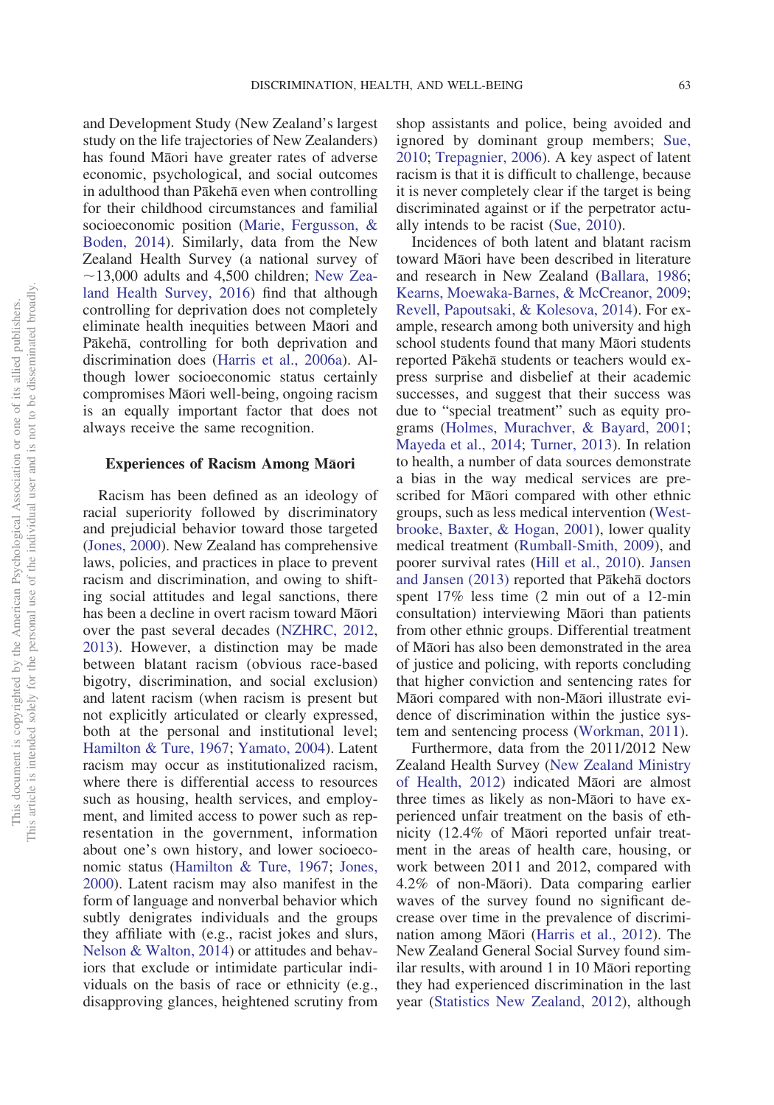and Development Study (New Zealand's largest study on the life trajectories of New Zealanders) has found Māori have greater rates of adverse economic, psychological, and social outcomes in adulthood than Pākehā even when controlling for their childhood circumstances and familial socioeconomic position [\(Marie, Fergusson, &](#page-17-6) [Boden, 2014\)](#page-17-6). Similarly, data from the New Zealand Health Survey (a national survey of  $\sim$ 13,000 adults and 4,500 children; [New Zea](#page-18-10)[land Health Survey, 2016\)](#page-18-10) find that although controlling for deprivation does not completely eliminate health inequities between Māori and Pākehā, controlling for both deprivation and discrimination does [\(Harris et al., 2006a\)](#page-16-0). Although lower socioeconomic status certainly compromises Māori well-being, ongoing racism is an equally important factor that does not always receive the same recognition.

# **Experiences of Racism Among Māori**

Racism has been defined as an ideology of racial superiority followed by discriminatory and prejudicial behavior toward those targeted [\(Jones, 2000\)](#page-16-3). New Zealand has comprehensive laws, policies, and practices in place to prevent racism and discrimination, and owing to shifting social attitudes and legal sanctions, there has been a decline in overt racism toward Māori over the past several decades [\(NZHRC, 2012,](#page-18-0) [2013\)](#page-18-1). However, a distinction may be made between blatant racism (obvious race-based bigotry, discrimination, and social exclusion) and latent racism (when racism is present but not explicitly articulated or clearly expressed, both at the personal and institutional level; [Hamilton & Ture, 1967;](#page-16-4) [Yamato, 2004\)](#page-19-6). Latent racism may occur as institutionalized racism, where there is differential access to resources such as housing, health services, and employment, and limited access to power such as representation in the government, information about one's own history, and lower socioeconomic status [\(Hamilton & Ture, 1967;](#page-16-4) [Jones,](#page-16-3) [2000\)](#page-16-3). Latent racism may also manifest in the form of language and nonverbal behavior which subtly denigrates individuals and the groups they affiliate with (e.g., racist jokes and slurs, [Nelson & Walton, 2014\)](#page-17-7) or attitudes and behaviors that exclude or intimidate particular individuals on the basis of race or ethnicity (e.g., disapproving glances, heightened scrutiny from

shop assistants and police, being avoided and ignored by dominant group members; [Sue,](#page-19-7) [2010;](#page-19-7) [Trepagnier, 2006\)](#page-19-8). A key aspect of latent racism is that it is difficult to challenge, because it is never completely clear if the target is being discriminated against or if the perpetrator actually intends to be racist [\(Sue, 2010\)](#page-19-7).

Incidences of both latent and blatant racism toward Māori have been described in literature and research in New Zealand [\(Ballara, 1986;](#page-15-3) [Kearns, Moewaka-Barnes, & McCreanor, 2009;](#page-16-5) [Revell, Papoutsaki, & Kolesova, 2014\)](#page-18-11). For example, research among both university and high school students found that many Māori students reported Pākehā students or teachers would express surprise and disbelief at their academic successes, and suggest that their success was due to "special treatment" such as equity programs [\(Holmes, Murachver, & Bayard, 2001;](#page-16-6) [Mayeda et al., 2014;](#page-17-8) [Turner, 2013\)](#page-19-9). In relation to health, a number of data sources demonstrate a bias in the way medical services are prescribed for Māori compared with other ethnic groups, such as less medical intervention [\(West](#page-19-10)[brooke, Baxter, & Hogan, 2001\)](#page-19-10), lower quality medical treatment [\(Rumball-Smith, 2009\)](#page-18-12), and poorer survival rates [\(Hill et al., 2010\)](#page-16-7). [Jansen](#page-16-8) [and Jansen \(2013\)](#page-16-8) reported that Pākehā doctors spent 17% less time (2 min out of a 12-min consultation) interviewing Māori than patients from other ethnic groups. Differential treatment of Māori has also been demonstrated in the area of justice and policing, with reports concluding that higher conviction and sentencing rates for Māori compared with non-Māori illustrate evidence of discrimination within the justice system and sentencing process [\(Workman, 2011\)](#page-19-11).

Furthermore, data from the 2011/2012 New Zealand Health Survey [\(New Zealand Ministry](#page-18-13) [of Health, 2012\)](#page-18-13) indicated Māori are almost three times as likely as non-Māori to have experienced unfair treatment on the basis of ethnicity (12.4% of Māori reported unfair treatment in the areas of health care, housing, or work between 2011 and 2012, compared with 4.2% of non-Māori). Data comparing earlier waves of the survey found no significant decrease over time in the prevalence of discrimi-nation among Māori [\(Harris et al., 2012\)](#page-16-9). The New Zealand General Social Survey found similar results, with around 1 in 10 Māori reporting they had experienced discrimination in the last year [\(Statistics New Zealand, 2012\)](#page-18-14), although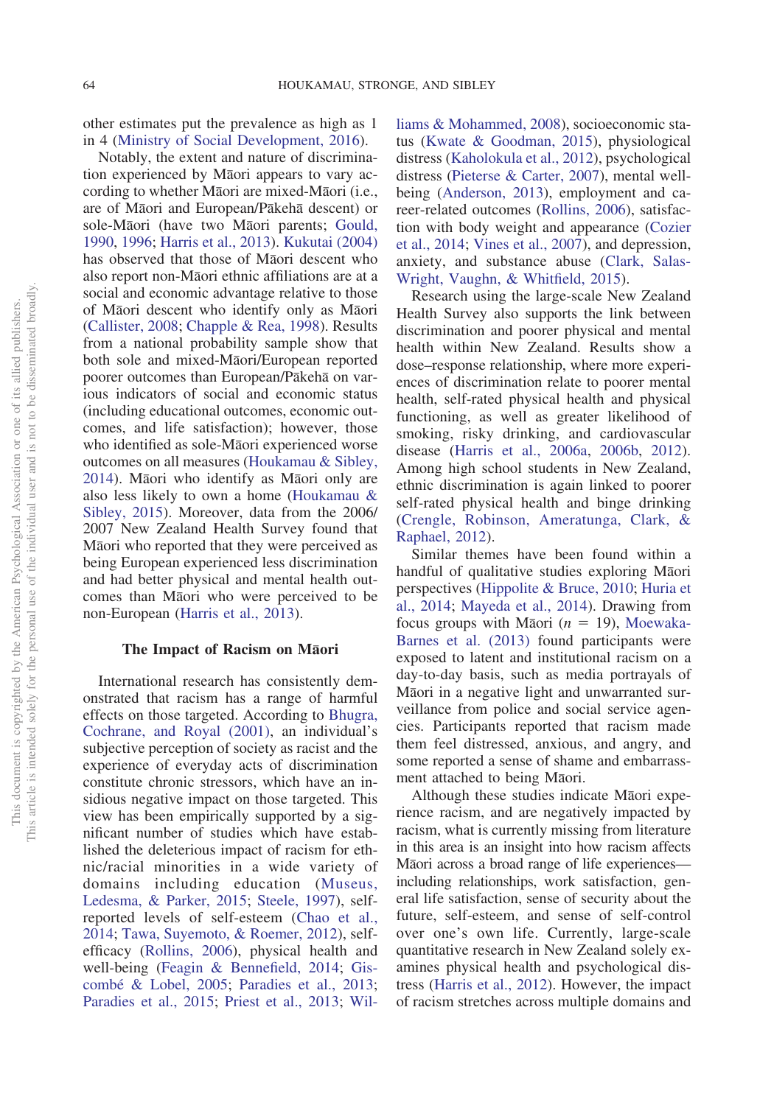other estimates put the prevalence as high as 1 in 4 [\(Ministry of Social Development, 2016\)](#page-17-9).

Notably, the extent and nature of discrimination experienced by Māori appears to vary according to whether Māori are mixed-Māori (i.e., are of Māori and European/Pākehā descent) or sole-Māori (have two Māori parents; [Gould,](#page-16-10) [1990,](#page-16-10) [1996;](#page-16-11) [Harris et al., 2013\)](#page-16-2). [Kukutai \(2004\)](#page-17-10) has observed that those of Māori descent who also report non-Māori ethnic affiliations are at a social and economic advantage relative to those of Māori descent who identify only as Māori [\(Callister, 2008;](#page-15-4) [Chapple & Rea, 1998\)](#page-15-5). Results from a national probability sample show that both sole and mixed-Māori/European reported poorer outcomes than European/Pākehā on various indicators of social and economic status (including educational outcomes, economic outcomes, and life satisfaction); however, those who identified as sole-Māori experienced worse outcomes on all measures [\(Houkamau & Sibley,](#page-16-12) [2014\)](#page-16-12). Māori who identify as Māori only are also less likely to own a home [\(Houkamau &](#page-16-13) [Sibley, 2015\)](#page-16-13). Moreover, data from the 2006/ 2007 New Zealand Health Survey found that Māori who reported that they were perceived as being European experienced less discrimination and had better physical and mental health outcomes than Māori who were perceived to be non-European [\(Harris et al., 2013\)](#page-16-2).

# **The Impact of Racism on Maori**

International research has consistently demonstrated that racism has a range of harmful effects on those targeted. According to [Bhugra,](#page-15-6) [Cochrane, and Royal \(2001\),](#page-15-6) an individual's subjective perception of society as racist and the experience of everyday acts of discrimination constitute chronic stressors, which have an insidious negative impact on those targeted. This view has been empirically supported by a significant number of studies which have established the deleterious impact of racism for ethnic/racial minorities in a wide variety of domains including education [\(Museus,](#page-17-11) [Ledesma, & Parker, 2015;](#page-17-11) [Steele, 1997\)](#page-19-12), selfreported levels of self-esteem [\(Chao et al.,](#page-15-7) [2014;](#page-15-7) [Tawa, Suyemoto, & Roemer, 2012\)](#page-19-13), selfefficacy [\(Rollins, 2006\)](#page-18-15), physical health and well-being [\(Feagin & Bennefield, 2014;](#page-16-14) [Gis](#page-16-15)[combé & Lobel, 2005;](#page-16-15) [Paradies et al., 2013;](#page-18-16) [Paradies et al., 2015;](#page-18-2) [Priest et al., 2013;](#page-18-17) [Wil-](#page-19-14) [liams & Mohammed, 2008\)](#page-19-14), socioeconomic status [\(Kwate & Goodman, 2015\)](#page-17-12), physiological distress [\(Kaholokula et al., 2012\)](#page-16-16), psychological distress [\(Pieterse & Carter, 2007\)](#page-18-18), mental wellbeing [\(Anderson, 2013\)](#page-15-8), employment and career-related outcomes [\(Rollins, 2006\)](#page-18-15), satisfaction with body weight and appearance [\(Cozier](#page-15-9) [et al., 2014;](#page-15-9) [Vines et al., 2007\)](#page-19-15), and depression, anxiety, and substance abuse [\(Clark, Salas-](#page-15-10)[Wright, Vaughn, & Whitfield, 2015\)](#page-15-10).

Research using the large-scale New Zealand Health Survey also supports the link between discrimination and poorer physical and mental health within New Zealand. Results show a dose–response relationship, where more experiences of discrimination relate to poorer mental health, self-rated physical health and physical functioning, as well as greater likelihood of smoking, risky drinking, and cardiovascular disease [\(Harris et al., 2006a,](#page-16-0) [2006b,](#page-16-17) [2012\)](#page-16-9). Among high school students in New Zealand, ethnic discrimination is again linked to poorer self-rated physical health and binge drinking [\(Crengle, Robinson, Ameratunga, Clark, &](#page-15-9) [Raphael, 2012\)](#page-15-9).

Similar themes have been found within a handful of qualitative studies exploring Māori perspectives [\(Hippolite & Bruce, 2010;](#page-16-18) [Huria et](#page-16-19) [al., 2014;](#page-16-19) [Mayeda et al., 2014\)](#page-17-8). Drawing from focus groups with Māori  $(n = 19)$ , [Moewaka-](#page-17-13)[Barnes et al. \(2013\)](#page-17-13) found participants were exposed to latent and institutional racism on a day-to-day basis, such as media portrayals of Māori in a negative light and unwarranted surveillance from police and social service agencies. Participants reported that racism made them feel distressed, anxious, and angry, and some reported a sense of shame and embarrassment attached to being Māori.

Although these studies indicate Māori experience racism, and are negatively impacted by racism, what is currently missing from literature in this area is an insight into how racism affects Māori across a broad range of life experiencesincluding relationships, work satisfaction, general life satisfaction, sense of security about the future, self-esteem, and sense of self-control over one's own life. Currently, large-scale quantitative research in New Zealand solely examines physical health and psychological distress [\(Harris et al., 2012\)](#page-16-9). However, the impact of racism stretches across multiple domains and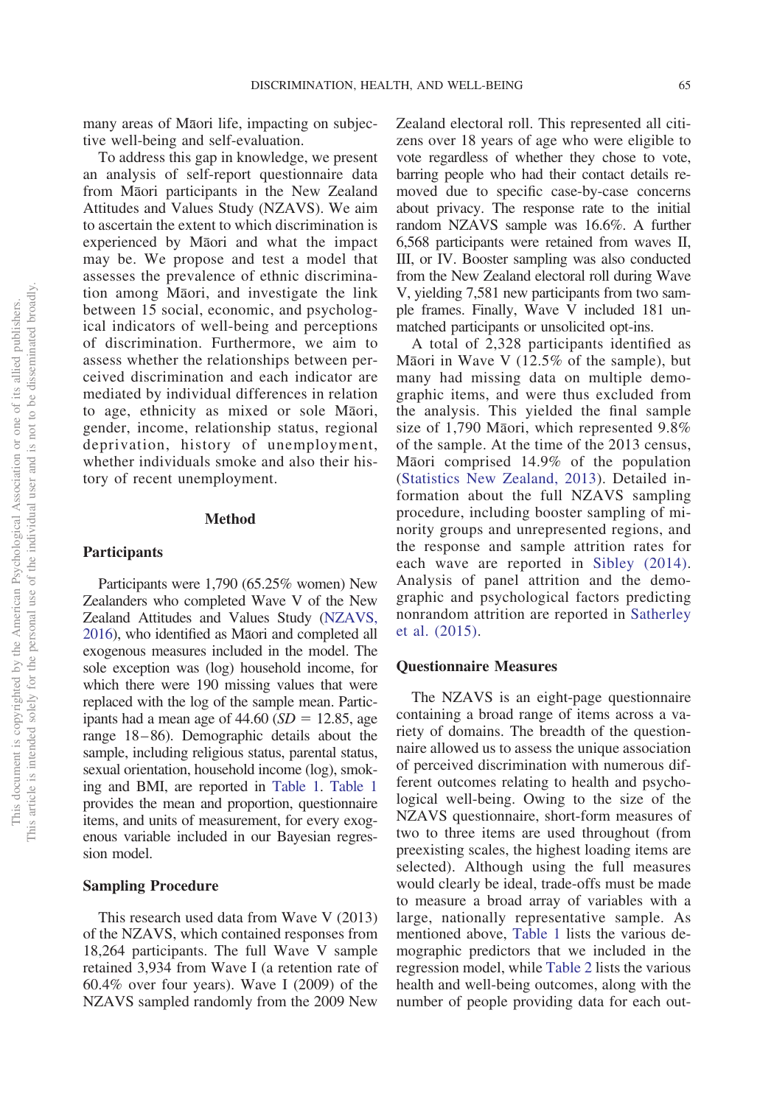many areas of Māori life, impacting on subjective well-being and self-evaluation.

To address this gap in knowledge, we present an analysis of self-report questionnaire data from Māori participants in the New Zealand Attitudes and Values Study (NZAVS). We aim to ascertain the extent to which discrimination is experienced by Māori and what the impact may be. We propose and test a model that assesses the prevalence of ethnic discrimination among Māori, and investigate the link between 15 social, economic, and psychological indicators of well-being and perceptions of discrimination. Furthermore, we aim to assess whether the relationships between perceived discrimination and each indicator are mediated by individual differences in relation to age, ethnicity as mixed or sole Māori, gender, income, relationship status, regional deprivation, history of unemployment, whether individuals smoke and also their history of recent unemployment.

### **Method**

### **Participants**

Participants were 1,790 (65.25% women) New Zealanders who completed Wave V of the New Zealand Attitudes and Values Study [\(NZAVS,](#page-17-14) [2016\)](#page-17-14), who identified as Māori and completed all exogenous measures included in the model. The sole exception was (log) household income, for which there were 190 missing values that were replaced with the log of the sample mean. Participants had a mean age of  $44.60$  (*SD* = 12.85, age range 18–86). Demographic details about the sample, including religious status, parental status, sexual orientation, household income (log), smoking and BMI, are reported in [Table 1.](#page-5-0) [Table 1](#page-5-0) provides the mean and proportion, questionnaire items, and units of measurement, for every exogenous variable included in our Bayesian regression model.

### **Sampling Procedure**

This research used data from Wave V (2013) of the NZAVS, which contained responses from 18,264 participants. The full Wave V sample retained 3,934 from Wave I (a retention rate of 60.4% over four years). Wave I (2009) of the NZAVS sampled randomly from the 2009 New Zealand electoral roll. This represented all citizens over 18 years of age who were eligible to vote regardless of whether they chose to vote, barring people who had their contact details removed due to specific case-by-case concerns about privacy. The response rate to the initial random NZAVS sample was 16.6%. A further 6,568 participants were retained from waves II, III, or IV. Booster sampling was also conducted from the New Zealand electoral roll during Wave V, yielding 7,581 new participants from two sample frames. Finally, Wave V included 181 unmatched participants or unsolicited opt-ins.

A total of 2,328 participants identified as Māori in Wave V (12.5% of the sample), but many had missing data on multiple demographic items, and were thus excluded from the analysis. This yielded the final sample size of 1,790 Māori, which represented 9.8% of the sample. At the time of the 2013 census, Māori comprised 14.9% of the population [\(Statistics New Zealand, 2013\)](#page-19-2). Detailed information about the full NZAVS sampling procedure, including booster sampling of minority groups and unrepresented regions, and the response and sample attrition rates for each wave are reported in [Sibley \(2014\).](#page-18-19) Analysis of panel attrition and the demographic and psychological factors predicting nonrandom attrition are reported in [Satherley](#page-18-20) [et al. \(2015\).](#page-18-20)

### **Questionnaire Measures**

The NZAVS is an eight-page questionnaire containing a broad range of items across a variety of domains. The breadth of the questionnaire allowed us to assess the unique association of perceived discrimination with numerous different outcomes relating to health and psychological well-being. Owing to the size of the NZAVS questionnaire, short-form measures of two to three items are used throughout (from preexisting scales, the highest loading items are selected). Although using the full measures would clearly be ideal, trade-offs must be made to measure a broad array of variables with a large, nationally representative sample. As mentioned above, [Table 1](#page-5-0) lists the various demographic predictors that we included in the regression model, while [Table 2](#page-6-0) lists the various health and well-being outcomes, along with the number of people providing data for each out-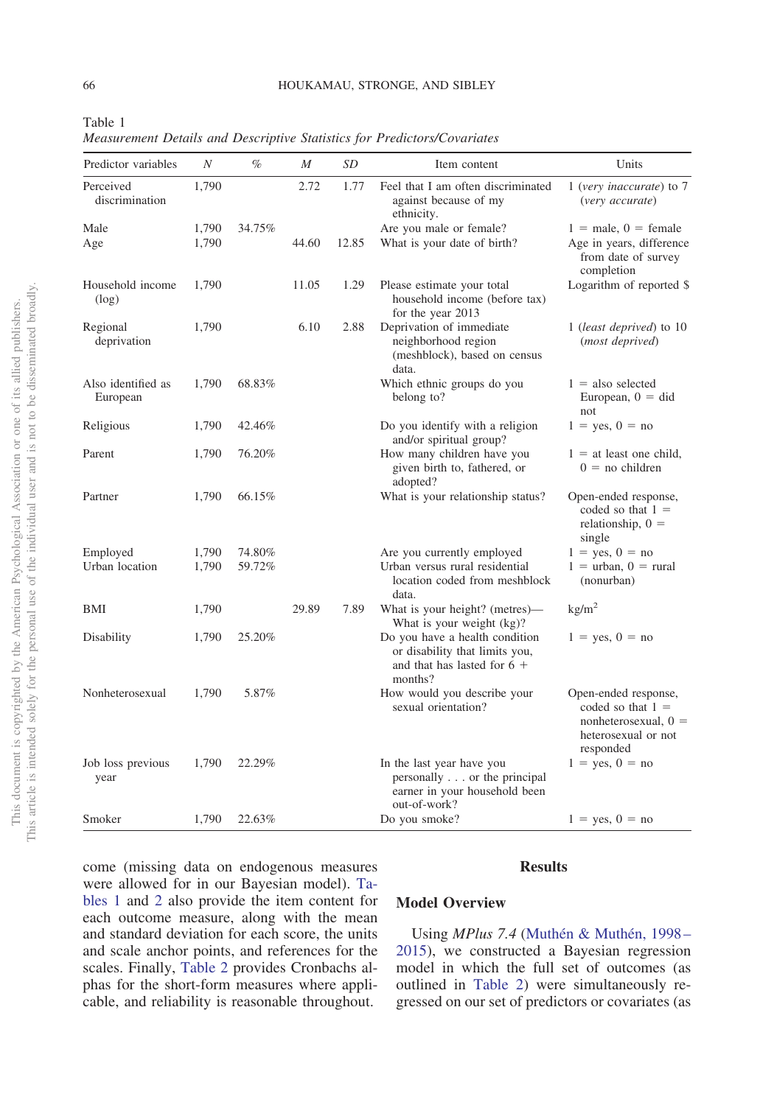| Predictor variables            | $\boldsymbol{N}$ | $\%$   | M     | SD    | Item content                                                                                                 | Units                                                                                                     |
|--------------------------------|------------------|--------|-------|-------|--------------------------------------------------------------------------------------------------------------|-----------------------------------------------------------------------------------------------------------|
| Perceived<br>discrimination    | 1,790            |        | 2.72  | 1.77  | Feel that I am often discriminated<br>against because of my<br>ethnicity.                                    | 1 (very inaccurate) to 7<br>(very accurate)                                                               |
| Male                           | 1,790            | 34.75% |       |       | Are you male or female?                                                                                      | $1 =$ male, $0 =$ female                                                                                  |
| Age                            | 1,790            |        | 44.60 | 12.85 | What is your date of birth?                                                                                  | Age in years, difference<br>from date of survey<br>completion                                             |
| Household income<br>(log)      | 1,790            |        | 11.05 | 1.29  | Please estimate your total<br>household income (before tax)<br>for the year 2013                             | Logarithm of reported \$                                                                                  |
| Regional<br>deprivation        | 1,790            |        | 6.10  | 2.88  | Deprivation of immediate<br>neighborhood region<br>(meshblock), based on census<br>data.                     | 1 (least deprived) to 10<br>(most deprived)                                                               |
| Also identified as<br>European | 1,790            | 68.83% |       |       | Which ethnic groups do you<br>belong to?                                                                     | $1 =$ also selected<br>European, $0 = did$<br>not                                                         |
| Religious                      | 1,790            | 42.46% |       |       | Do you identify with a religion<br>and/or spiritual group?                                                   | $1 = yes, 0 = no$                                                                                         |
| Parent                         | 1,790            | 76.20% |       |       | How many children have you<br>given birth to, fathered, or<br>adopted?                                       | $1 =$ at least one child,<br>$0 =$ no children                                                            |
| Partner                        | 1,790            | 66.15% |       |       | What is your relationship status?                                                                            | Open-ended response,<br>coded so that $1 =$<br>relationship, $0 =$<br>single                              |
| Employed                       | 1,790            | 74.80% |       |       | Are you currently employed                                                                                   | $1 = \text{ves}, 0 = \text{no}$                                                                           |
| Urban location                 | 1,790            | 59.72% |       |       | Urban versus rural residential<br>location coded from meshblock<br>data.                                     | $1 =$ urban, $0 =$ rural<br>(nonurban)                                                                    |
| BMI                            | 1,790            |        | 29.89 | 7.89  | What is your height? (metres)—<br>What is your weight (kg)?                                                  | $\text{kg/m}^2$                                                                                           |
| Disability                     | 1,790            | 25.20% |       |       | Do you have a health condition<br>or disability that limits you,<br>and that has lasted for $6 +$<br>months? | $1 = \text{ves}, 0 = \text{no}$                                                                           |
| Nonheterosexual                | 1,790            | 5.87%  |       |       | How would you describe your<br>sexual orientation?                                                           | Open-ended response,<br>coded so that $1 =$<br>nonheterosexual, $0 =$<br>heterosexual or not<br>responded |
| Job loss previous<br>year      | 1,790            | 22.29% |       |       | In the last year have you<br>personally or the principal<br>earner in your household been<br>out-of-work?    | $1 = yes, 0 = no$                                                                                         |
| Smoker                         | 1,790            | 22.63% |       |       | Do you smoke?                                                                                                | $1 = yes, 0 = no$                                                                                         |

<span id="page-5-0"></span>Table 1 *Measurement Details and Descriptive Statistics for Predictors/Covariates*

### **Results**

come (missing data on endogenous measures were allowed for in our Bayesian model). [Ta](#page-5-0)[bles 1](#page-5-0) and [2](#page-6-0) also provide the item content for each outcome measure, along with the mean and standard deviation for each score, the units and scale anchor points, and references for the scales. Finally, [Table 2](#page-6-0) provides Cronbachs alphas for the short-form measures where applicable, and reliability is reasonable throughout.

# **Model Overview**

Using *MPlus 7.4* [\(Muthén & Muthén, 1998–](#page-17-15) [2015\)](#page-17-15), we constructed a Bayesian regression model in which the full set of outcomes (as outlined in [Table 2\)](#page-6-0) were simultaneously regressed on our set of predictors or covariates (as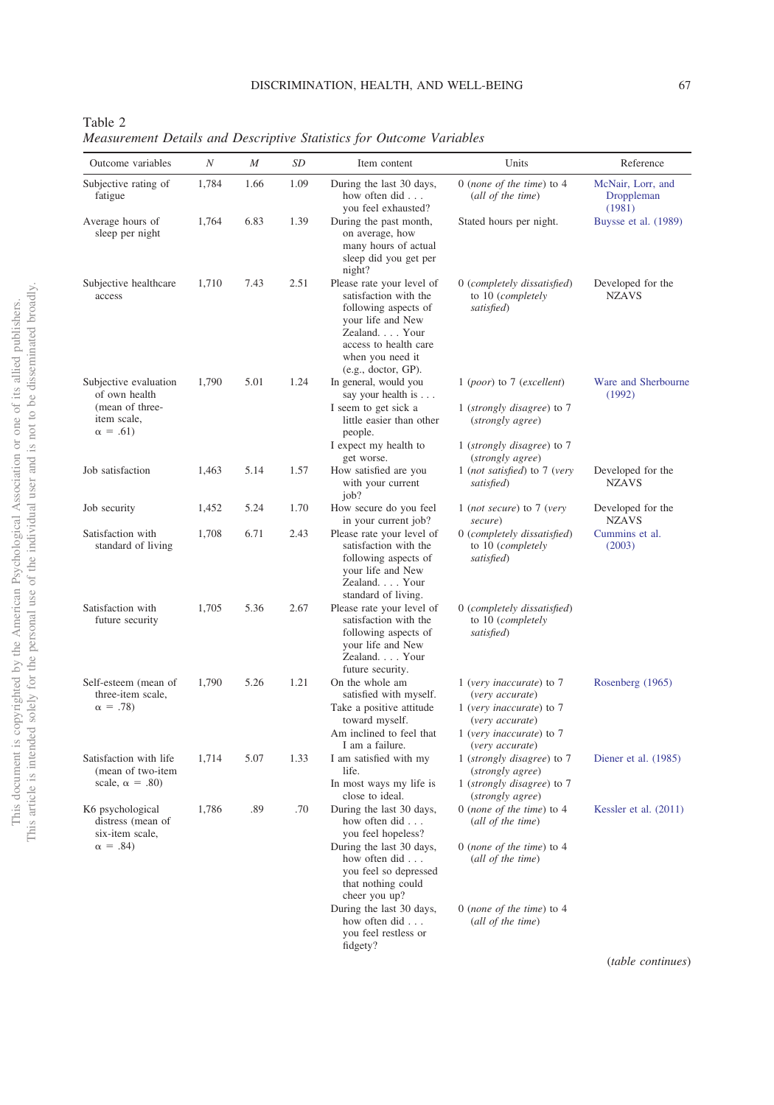<span id="page-6-0"></span>Table 2 *Measurement Details and Descriptive Statistics for Outcome Variables*

| Outcome variables                                                          | $\cal N$ | $\boldsymbol{M}$ | SD   | Item content                                                                                                                                                                                                                | Units                                                                                                                                                     | Reference                                 |
|----------------------------------------------------------------------------|----------|------------------|------|-----------------------------------------------------------------------------------------------------------------------------------------------------------------------------------------------------------------------------|-----------------------------------------------------------------------------------------------------------------------------------------------------------|-------------------------------------------|
| Subjective rating of<br>fatigue                                            | 1,784    | 1.66             | 1.09 | During the last 30 days,<br>how often did<br>you feel exhausted?                                                                                                                                                            | 0 (none of the time) to $4$<br>(all of the time)                                                                                                          | McNair, Lorr, and<br>Droppleman<br>(1981) |
| Average hours of<br>sleep per night                                        | 1,764    | 6.83             | 1.39 | During the past month,<br>on average, how<br>many hours of actual<br>sleep did you get per<br>night?                                                                                                                        | Stated hours per night.                                                                                                                                   | Buysse et al. (1989)                      |
| Subjective healthcare<br>access                                            | 1,710    | 7.43             | 2.51 | Please rate your level of<br>satisfaction with the<br>following aspects of<br>your life and New<br>Zealand. Your<br>access to health care<br>when you need it<br>(e.g., doctor, GP).                                        | 0 (completely dissatisfied)<br>to 10 (completely<br>satisfied)                                                                                            | Developed for the<br><b>NZAVS</b>         |
| Subjective evaluation<br>of own health                                     | 1,790    | 5.01             | 1.24 | In general, would you<br>say your health is                                                                                                                                                                                 | $1 (poor)$ to 7 (excellent)                                                                                                                               | Ware and Sherbourne<br>(1992)             |
| (mean of three-<br>item scale,<br>$\alpha = .61$                           |          |                  |      | I seem to get sick a<br>little easier than other<br>people.                                                                                                                                                                 | 1 (strongly disagree) to 7<br>(strongly agree)                                                                                                            |                                           |
|                                                                            |          |                  |      | I expect my health to<br>get worse.                                                                                                                                                                                         | 1 (strongly disagree) to 7<br>(strongly agree)                                                                                                            |                                           |
| Job satisfaction                                                           | 1,463    | 5.14             | 1.57 | How satisfied are you<br>with your current<br>job?                                                                                                                                                                          | 1 (not satisfied) to 7 (very<br>satisfied)                                                                                                                | Developed for the<br><b>NZAVS</b>         |
| Job security                                                               | 1,452    | 5.24             | 1.70 | How secure do you feel<br>in your current job?                                                                                                                                                                              | 1 (not secure) to 7 (very<br>secure)                                                                                                                      | Developed for the<br><b>NZAVS</b>         |
| Satisfaction with<br>standard of living                                    | 1,708    | 6.71             | 2.43 | Please rate your level of<br>satisfaction with the<br>following aspects of<br>your life and New<br>Zealand. Your<br>standard of living.                                                                                     | 0 (completely dissatisfied)<br>to 10 (completely<br>satisfied)                                                                                            | Cummins et al.<br>(2003)                  |
| Satisfaction with<br>future security                                       | 1,705    | 5.36             | 2.67 | Please rate your level of<br>satisfaction with the<br>following aspects of<br>your life and New<br>Zealand. Your<br>future security.                                                                                        | 0 (completely dissatisfied)<br>to 10 (completely<br>satisfied)                                                                                            |                                           |
| Self-esteem (mean of<br>three-item scale,<br>$\alpha = .78$                | 1,790    | 5.26             | 1.21 | On the whole am<br>satisfied with myself.<br>Take a positive attitude<br>toward myself.<br>Am inclined to feel that<br>I am a failure.                                                                                      | 1 (very inaccurate) to 7<br>(very accurate)<br>1 (very inaccurate) to $7$<br>(very accurate)<br>1 (very inaccurate) to 7<br>(very accurate)               | Rosenberg (1965)                          |
| Satisfaction with life<br>(mean of two-item<br>scale, $\alpha = .80$ )     | 1,714    | 5.07             | 1.33 | I am satisfied with my<br>life.<br>In most ways my life is                                                                                                                                                                  | 1 (strongly disagree) to 7<br>(strongly agree)<br>1 (strongly disagree) to 7                                                                              | Diener et al. (1985)                      |
| K6 psychological<br>distress (mean of<br>six-item scale,<br>$\alpha = .84$ | 1,786    | .89              | .70  | close to ideal.<br>During the last 30 days,<br>how often did<br>you feel hopeless?<br>During the last 30 days,<br>how often did<br>you feel so depressed<br>that nothing could<br>cheer you up?<br>During the last 30 days, | (strongly agree)<br>$0$ (none of the time) to $4$<br>(all of the time)<br>0 (none of the time) to $4$<br>(all of the time)<br>0 (none of the time) to $4$ | Kessler et al. (2011)                     |
|                                                                            |          |                  |      | how often did<br>you feel restless or                                                                                                                                                                                       | (all of the time)                                                                                                                                         |                                           |

fidgety?

(*table continues*)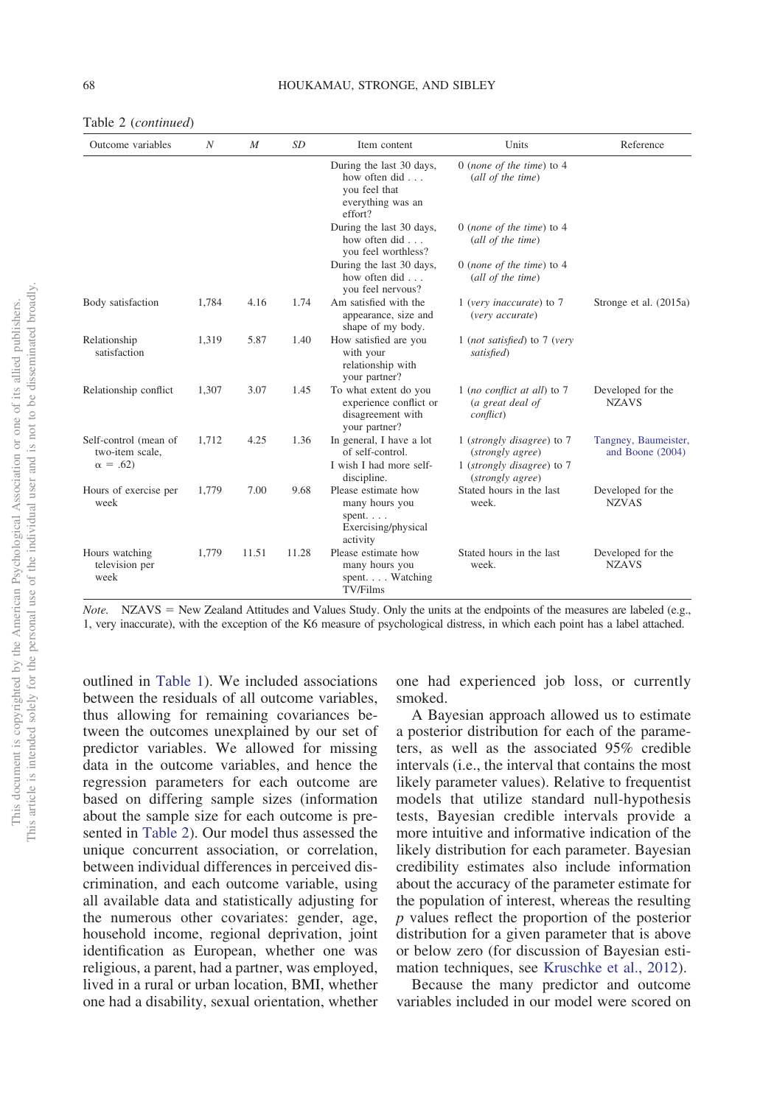|  | Table 2 ( <i>continued</i> ) |
|--|------------------------------|
|--|------------------------------|

| Outcome variables                                          | $\boldsymbol{N}$ | $\boldsymbol{M}$ | <b>SD</b> | Item content                                                                                | Units                                                                                            | Reference                                |
|------------------------------------------------------------|------------------|------------------|-----------|---------------------------------------------------------------------------------------------|--------------------------------------------------------------------------------------------------|------------------------------------------|
|                                                            |                  |                  |           | During the last 30 days,<br>how often did<br>you feel that<br>everything was an<br>effort?  | 0 (none of the time) to $4$<br>(all of the time)                                                 |                                          |
|                                                            |                  |                  |           | During the last 30 days,<br>how often did<br>you feel worthless?                            | 0 (none of the time) to $4$<br>(all of the time)                                                 |                                          |
|                                                            |                  |                  |           | During the last 30 days,<br>how often did $\ldots$<br>you feel nervous?                     | 0 (none of the time) to $4$<br>(all of the time)                                                 |                                          |
| Body satisfaction                                          | 1,784            | 4.16             | 1.74      | Am satisfied with the<br>appearance, size and<br>shape of my body.                          | 1 (very inaccurate) to 7<br>(very accurate)                                                      | Stronge et al. (2015a)                   |
| Relationship<br>satisfaction                               | 1,319            | 5.87             | 1.40      | How satisfied are you<br>with your<br>relationship with<br>your partner?                    | 1 (not satisfied) to 7 (very<br>satisfied)                                                       |                                          |
| Relationship conflict                                      | 1.307            | 3.07             | 1.45      | To what extent do you<br>experience conflict or<br>disagreement with<br>your partner?       | 1 (no conflict at all) to $7$<br>(a great deal of<br><i>conflict</i> )                           | Developed for the<br><b>NZAVS</b>        |
| Self-control (mean of<br>two-item scale,<br>$\alpha = .62$ | 1.712            | 4.25             | 1.36      | In general, I have a lot<br>of self-control.<br>I wish I had more self-<br>discipline.      | 1 (strongly disagree) to 7<br>(strongly agree)<br>1 (strongly disagree) to 7<br>(strongly agree) | Tangney, Baumeister,<br>and Boone (2004) |
| Hours of exercise per<br>week                              | 1.779            | 7.00             | 9.68      | Please estimate how<br>many hours you<br>spent. $\ldots$<br>Exercising/physical<br>activity | Stated hours in the last<br>week.                                                                | Developed for the<br><b>NZVAS</b>        |
| Hours watching<br>television per<br>week                   | 1.779            | 11.51            | 11.28     | Please estimate how<br>many hours you<br>spent. Watching<br><b>TV/Films</b>                 | Stated hours in the last<br>week.                                                                | Developed for the<br><b>NZAVS</b>        |

*Note.* NZAVS = New Zealand Attitudes and Values Study. Only the units at the endpoints of the measures are labeled (e.g., 1, very inaccurate), with the exception of the K6 measure of psychological distress, in which each point has a label attached.

outlined in [Table 1\)](#page-5-0). We included associations between the residuals of all outcome variables, thus allowing for remaining covariances between the outcomes unexplained by our set of predictor variables. We allowed for missing data in the outcome variables, and hence the regression parameters for each outcome are based on differing sample sizes (information about the sample size for each outcome is presented in [Table 2\)](#page-6-0). Our model thus assessed the unique concurrent association, or correlation, between individual differences in perceived discrimination, and each outcome variable, using all available data and statistically adjusting for the numerous other covariates: gender, age, household income, regional deprivation, joint identification as European, whether one was religious, a parent, had a partner, was employed, lived in a rural or urban location, BMI, whether one had a disability, sexual orientation, whether

one had experienced job loss, or currently smoked.

A Bayesian approach allowed us to estimate a posterior distribution for each of the parameters, as well as the associated 95% credible intervals (i.e., the interval that contains the most likely parameter values). Relative to frequentist models that utilize standard null-hypothesis tests, Bayesian credible intervals provide a more intuitive and informative indication of the likely distribution for each parameter. Bayesian credibility estimates also include information about the accuracy of the parameter estimate for the population of interest, whereas the resulting *p* values reflect the proportion of the posterior distribution for a given parameter that is above or below zero (for discussion of Bayesian estimation techniques, see [Kruschke et al., 2012\)](#page-17-17).

Because the many predictor and outcome variables included in our model were scored on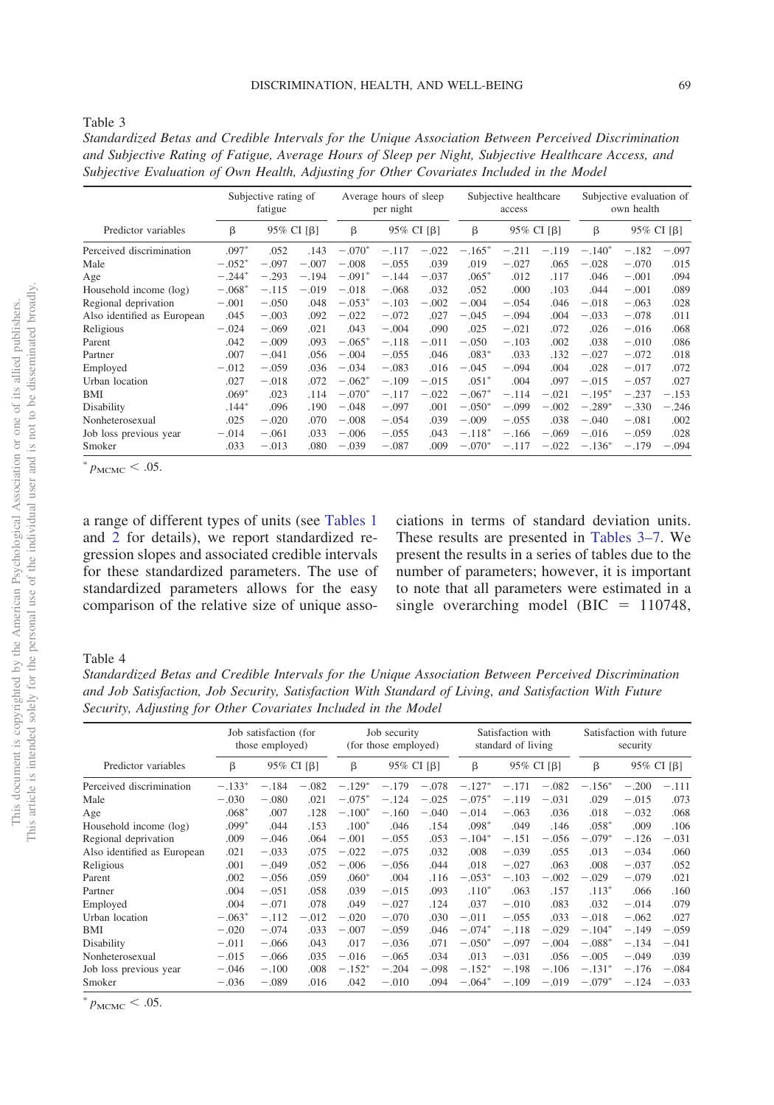| v.<br>۰, | ۰,<br>٠ |  |
|----------|---------|--|
|          |         |  |

*Standardized Betas and Credible Intervals for the Unique Association Between Perceived Discrimination and Subjective Rating of Fatigue, Average Hours of Sleep per Night, Subjective Healthcare Access, and Subjective Evaluation of Own Health, Adjusting for Other Covariates Included in the Model*

|                             | Subjective rating of<br>fatigue |         |            |          | Average hours of sleep<br>per night |            |          | Subjective healthcare<br>access |            |          | Subjective evaluation of<br>own health |            |  |
|-----------------------------|---------------------------------|---------|------------|----------|-------------------------------------|------------|----------|---------------------------------|------------|----------|----------------------------------------|------------|--|
| Predictor variables         | β                               |         | 95% CI [β] | β        |                                     | 95% CI [β] | β        |                                 | 95% CI [β] | β        |                                        | 95% CI [β] |  |
| Perceived discrimination    | $.097*$                         | .052    | .143       | $-.070*$ | $-.117$                             | $-.022$    | $-.165*$ | $-.211$                         | $-.119$    | $-.140*$ | $-.182$                                | $-.097$    |  |
| Male                        | $-.052*$                        | $-.097$ | $-.007$    | $-.008$  | $-.055$                             | .039       | .019     | $-.027$                         | .065       | $-.028$  | $-.070$                                | .015       |  |
| Age                         | $-.244*$                        | $-.293$ | $-.194$    | $-.091*$ | $-.144$                             | $-.037$    | $.065*$  | .012                            | .117       | .046     | $-.001$                                | .094       |  |
| Household income (log)      | $-.068*$                        | $-.115$ | $-.019$    | $-.018$  | $-.068$                             | .032       | .052     | .000                            | .103       | .044     | $-.001$                                | .089       |  |
| Regional deprivation        | $-.001$                         | $-.050$ | .048       | $-.053*$ | $-.103$                             | $-.002$    | $-.004$  | $-.054$                         | .046       | $-.018$  | $-.063$                                | .028       |  |
| Also identified as European | .045                            | $-.003$ | .092       | $-.022$  | $-.072$                             | .027       | $-.045$  | $-.094$                         | .004       | $-.033$  | $-.078$                                | .011       |  |
| Religious                   | $-.024$                         | $-.069$ | .021       | .043     | $-.004$                             | .090       | .025     | $-.021$                         | .072       | .026     | $-.016$                                | .068       |  |
| Parent                      | .042                            | $-.009$ | .093       | $-.065*$ | $-.118$                             | $-.011$    | $-.050$  | $-.103$                         | .002       | .038     | $-.010$                                | .086       |  |
| Partner                     | .007                            | $-.041$ | .056       | $-.004$  | $-.055$                             | .046       | $.083*$  | .033                            | .132       | $-.027$  | $-.072$                                | .018       |  |
| Employed                    | $-.012$                         | $-.059$ | .036       | $-.034$  | $-.083$                             | .016       | $-.045$  | $-.094$                         | .004       | .028     | $-.017$                                | .072       |  |
| Urban location              | .027                            | $-.018$ | .072       | $-.062*$ | $-.109$                             | $-.015$    | $.051*$  | .004                            | .097       | $-.015$  | $-.057$                                | .027       |  |
| BMI                         | $.069*$                         | .023    | .114       | $-.070*$ | $-.117$                             | $-.022$    | $-.067*$ | $-.114$                         | $-.021$    | $-.195*$ | $-.237$                                | $-.153$    |  |
| Disability                  | $.144*$                         | .096    | .190       | $-.048$  | $-.097$                             | .001       | $-.050*$ | $-.099$                         | $-.002$    | $-.289*$ | $-.330$                                | $-.246$    |  |
| Nonheterosexual             | .025                            | $-.020$ | .070       | $-.008$  | $-.054$                             | .039       | $-.009$  | $-.055$                         | .038       | $-.040$  | $-.081$                                | .002       |  |
| Job loss previous year      | $-.014$                         | $-.061$ | .033       | $-.006$  | $-.055$                             | .043       | $-.118*$ | $-.166$                         | $-.069$    | $-.016$  | $-.059$                                | .028       |  |
| Smoker                      | .033                            | $-.013$ | .080       | $-.039$  | $-.087$                             | .009       | $-.070*$ | $-.117$                         | $-.022$    | $-.136*$ | $-.179$                                | $-.094$    |  |

 $^{*}$   $p_{\text{MCMC}}$  < .05.

a range of different types of units (see [Tables 1](#page-5-0) and [2](#page-6-0) for details), we report standardized regression slopes and associated credible intervals for these standardized parameters. The use of standardized parameters allows for the easy comparison of the relative size of unique associations in terms of standard deviation units. These results are presented in [Tables 3–7.](#page-10-0) We present the results in a series of tables due to the number of parameters; however, it is important to note that all parameters were estimated in a single overarching model (BIC  $= 110748$ ,

#### Table 4

*Standardized Betas and Credible Intervals for the Unique Association Between Perceived Discrimination and Job Satisfaction, Job Security, Satisfaction With Standard of Living, and Satisfaction With Future Security, Adjusting for Other Covariates Included in the Model*

|                             | Job satisfaction (for<br>those employed) |         |            | Job security<br>(for those employed) |         |            | Satisfaction with<br>standard of living |         |            | Satisfaction with future<br>security |         |            |
|-----------------------------|------------------------------------------|---------|------------|--------------------------------------|---------|------------|-----------------------------------------|---------|------------|--------------------------------------|---------|------------|
| Predictor variables         | β                                        |         | 95% CI [β] | β                                    |         | 95% CI [β] | β                                       |         | 95% CI [β] | β                                    |         | 95% CI [β] |
| Perceived discrimination    | $-.133*$                                 | $-.184$ | $-.082$    | $-.129*$                             | $-.179$ | $-.078$    | $-.127*$                                | $-.171$ | $-.082$    | $-.156*$                             | $-.200$ | $-.111$    |
| Male                        | $-.030$                                  | $-.080$ | .021       | $-.075*$                             | $-.124$ | $-.025$    | $-.075*$                                | $-.119$ | $-.031$    | .029                                 | $-.015$ | .073       |
| Age                         | $.068*$                                  | .007    | .128       | $-.100*$                             | $-.160$ | $-.040$    | $-.014$                                 | $-.063$ | .036       | .018                                 | $-.032$ | .068       |
| Household income (log)      | $.099*$                                  | .044    | .153       | $.100*$                              | .046    | .154       | $.098*$                                 | .049    | .146       | $.058*$                              | .009    | .106       |
| Regional deprivation        | .009                                     | $-.046$ | .064       | $-.001$                              | $-.055$ | .053       | $-.104*$                                | $-.151$ | $-.056$    | $-.079*$                             | $-.126$ | $-.031$    |
| Also identified as European | .021                                     | $-.033$ | .075       | $-.022$                              | $-.075$ | .032       | .008                                    | $-.039$ | .055       | .013                                 | $-.034$ | .060       |
| Religious                   | .001                                     | $-.049$ | .052       | $-.006$                              | $-.056$ | .044       | .018                                    | $-.027$ | .063       | .008                                 | $-.037$ | .052       |
| Parent                      | .002                                     | $-.056$ | .059       | $.060*$                              | .004    | .116       | $-.053*$                                | $-.103$ | $-.002$    | $-.029$                              | $-.079$ | .021       |
| Partner                     | .004                                     | $-.051$ | .058       | .039                                 | $-.015$ | .093       | $.110*$                                 | .063    | .157       | $.113*$                              | .066    | .160       |
| Employed                    | .004                                     | $-.071$ | .078       | .049                                 | $-.027$ | .124       | .037                                    | $-.010$ | .083       | .032                                 | $-.014$ | .079       |
| Urban location              | $-.063*$                                 | $-.112$ | $-.012$    | $-.020$                              | $-.070$ | .030       | $-.011$                                 | $-.055$ | .033       | $-.018$                              | $-.062$ | .027       |
| BMI                         | $-.020$                                  | $-.074$ | .033       | $-.007$                              | $-.059$ | .046       | $-.074*$                                | $-.118$ | $-.029$    | $-.104*$                             | $-.149$ | $-.059$    |
| Disability                  | $-.011$                                  | $-.066$ | .043       | .017                                 | $-.036$ | .071       | $-.050*$                                | $-.097$ | $-.004$    | $-.088*$                             | $-.134$ | $-.041$    |
| Nonheterosexual             | $-.015$                                  | $-.066$ | .035       | $-.016$                              | $-.065$ | .034       | .013                                    | $-.031$ | .056       | $-.005$                              | $-.049$ | .039       |
| Job loss previous year      | $-.046$                                  | $-.100$ | .008       | $-.152*$                             | $-.204$ | $-.098$    | $-.152*$                                | $-.198$ | $-.106$    | $-.131*$                             | $-.176$ | $-.084$    |
| Smoker                      | $-.036$                                  | $-.089$ | .016       | .042                                 | $-.010$ | .094       | $-.064*$                                | $-.109$ | $-.019$    | $-.079*$                             | $-.124$ | $-.033$    |

 $^{*}$   $p_{\text{MCMC}}$  < .05.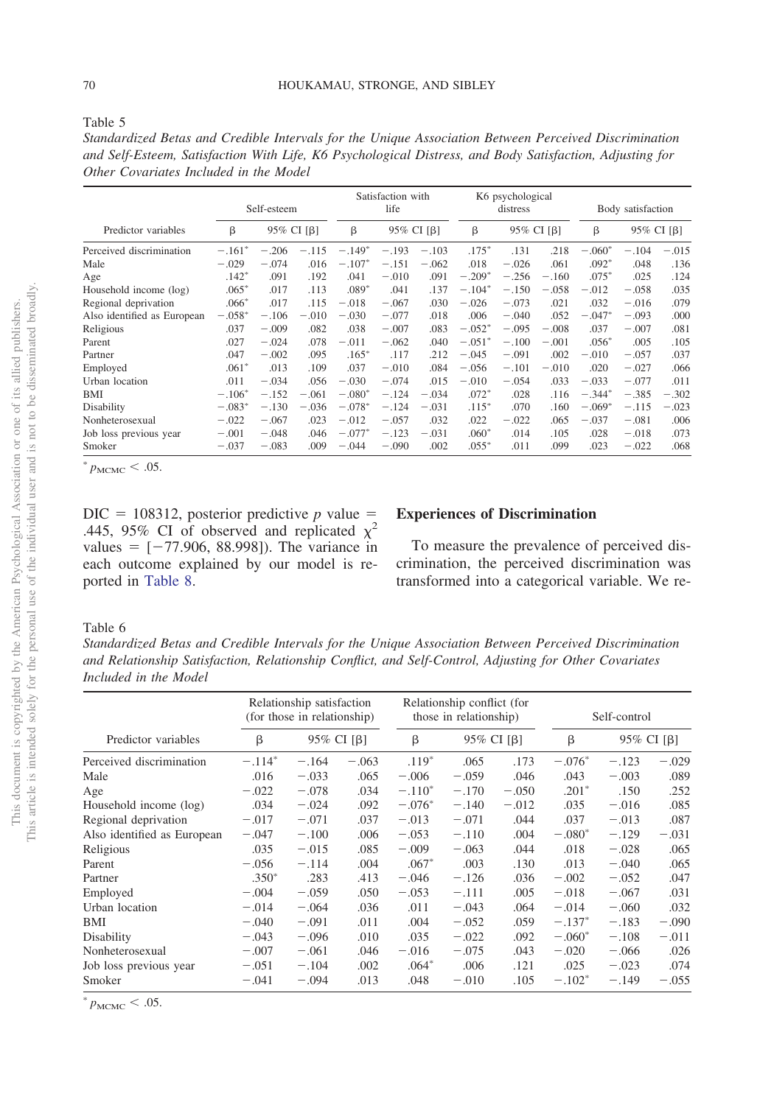|--|--|

*Standardized Betas and Credible Intervals for the Unique Association Between Perceived Discrimination and Self-Esteem, Satisfaction With Life, K6 Psychological Distress, and Body Satisfaction, Adjusting for Other Covariates Included in the Model*

|                             |          | Self-esteem |            |          | Satisfaction with<br>life |            |          | K6 psychological<br>distress |            |          | Body satisfaction |            |  |
|-----------------------------|----------|-------------|------------|----------|---------------------------|------------|----------|------------------------------|------------|----------|-------------------|------------|--|
| Predictor variables         | β        |             | 95% CI [β] | $\beta$  |                           | 95% CI [β] | β        |                              | 95% CI [β] | β        |                   | 95% CI [B] |  |
| Perceived discrimination    | $-.161*$ | $-.206$     | $-.115$    | $-.149*$ | $-.193$                   | $-.103$    | $.175*$  | .131                         | .218       | $-.060*$ | $-.104$           | $-.015$    |  |
| Male                        | $-.029$  | $-.074$     | .016       | $-.107*$ | $-.151$                   | $-.062$    | .018     | $-.026$                      | .061       | $.092*$  | .048              | .136       |  |
| Age                         | $.142*$  | .091        | .192       | .041     | $-.010$                   | .091       | $-.209*$ | $-.256$                      | $-.160$    | $.075*$  | .025              | .124       |  |
| Household income (log)      | $.065*$  | .017        | .113       | $.089*$  | .041                      | .137       | $-.104*$ | $-.150$                      | $-.058$    | $-.012$  | $-.058$           | .035       |  |
| Regional deprivation        | $.066*$  | .017        | .115       | $-.018$  | $-.067$                   | .030       | $-.026$  | $-.073$                      | .021       | .032     | $-.016$           | .079       |  |
| Also identified as European | $-.058*$ | $-.106$     | $-.010$    | $-.030$  | $-.077$                   | .018       | .006     | $-.040$                      | .052       | $-.047*$ | $-.093$           | .000       |  |
| Religious                   | .037     | $-.009$     | .082       | .038     | $-.007$                   | .083       | $-.052*$ | $-.095$                      | $-.008$    | .037     | $-.007$           | .081       |  |
| Parent                      | .027     | $-.024$     | .078       | $-.011$  | $-.062$                   | .040       | $-.051*$ | $-.100$                      | $-.001$    | $.056*$  | .005              | .105       |  |
| Partner                     | .047     | $-.002$     | .095       | $.165*$  | .117                      | .212       | $-.045$  | $-.091$                      | .002       | $-.010$  | $-.057$           | .037       |  |
| Employed                    | $.061*$  | .013        | .109       | .037     | $-.010$                   | .084       | $-.056$  | $-.101$                      | $-.010$    | .020     | $-.027$           | .066       |  |
| Urban location              | .011     | $-.034$     | .056       | $-.030$  | $-.074$                   | .015       | $-.010$  | $-.054$                      | .033       | $-.033$  | $-.077$           | .011       |  |
| BMI                         | $-.106*$ | $-.152$     | $-.061$    | $-.080*$ | $-.124$                   | $-.034$    | $.072*$  | .028                         | .116       | $-.344*$ | $-.385$           | $-.302$    |  |
| Disability                  | $-.083*$ | $-.130$     | $-.036$    | $-.078*$ | $-.124$                   | $-.031$    | $.115*$  | .070                         | .160       | $-.069*$ | $-.115$           | $-.023$    |  |
| Nonheterosexual             | $-.022$  | $-.067$     | .023       | $-.012$  | $-.057$                   | .032       | .022     | $-.022$                      | .065       | $-.037$  | $-.081$           | .006       |  |
| Job loss previous year      | $-.001$  | $-.048$     | .046       | $-.077*$ | $-.123$                   | $-.031$    | $.060*$  | .014                         | .105       | .028     | $-.018$           | .073       |  |
| Smoker                      | $-.037$  | $-.083$     | .009       | $-.044$  | $-.090$                   | .002       | $.055*$  | .011                         | .099       | .023     | $-.022$           | .068       |  |

 $^{*}$   $p_{\text{MCMC}}$  < .05.

 $DIC = 108312$ , posterior predictive *p* value = .445, 95% CI of observed and replicated  $\chi^2$ values  $=$   $[-77.906, 88.998]$ ). The variance in each outcome explained by our model is reported in [Table 8.](#page-10-1)

### **Experiences of Discrimination**

To measure the prevalence of perceived discrimination, the perceived discrimination was transformed into a categorical variable. We re-

#### Table 6

*Standardized Betas and Credible Intervals for the Unique Association Between Perceived Discrimination and Relationship Satisfaction, Relationship Conflict, and Self-Control, Adjusting for Other Covariates Included in the Model*

|                             |          | Relationship satisfaction<br>(for those in relationship) |            |          | Relationship conflict (for<br>those in relationship) |         | Self-control |            |         |
|-----------------------------|----------|----------------------------------------------------------|------------|----------|------------------------------------------------------|---------|--------------|------------|---------|
| Predictor variables         | β        |                                                          | 95% CI [β] |          | 95% CI [B]                                           |         | β            | 95% CI [B] |         |
| Perceived discrimination    | $-.114*$ | $-.164$                                                  | $-.063$    | $.119*$  | .065                                                 | .173    | $-.076*$     | $-.123$    | $-.029$ |
| Male                        | .016     | $-.033$                                                  | .065       | $-.006$  | $-.059$                                              | .046    | .043         | $-.003$    | .089    |
| Age                         | $-.022$  | $-.078$                                                  | .034       | $-.110*$ | $-.170$                                              | $-.050$ | $.201*$      | .150       | .252    |
| Household income (log)      | .034     | $-.024$                                                  | .092       | $-.076*$ | $-.140$                                              | $-.012$ | .035         | $-.016$    | .085    |
| Regional deprivation        | $-.017$  | $-.071$                                                  | .037       | $-.013$  | $-.071$                                              | .044    | .037         | $-.013$    | .087    |
| Also identified as European | $-.047$  | $-.100$                                                  | .006       | $-.053$  | $-.110$                                              | .004    | $-.080*$     | $-.129$    | $-.031$ |
| Religious                   | .035     | $-.015$                                                  | .085       | $-.009$  | $-.063$                                              | .044    | .018         | $-.028$    | .065    |
| Parent                      | $-.056$  | $-.114$                                                  | .004       | $.067*$  | .003                                                 | .130    | .013         | $-.040$    | .065    |
| Partner                     | $.350*$  | .283                                                     | .413       | $-.046$  | $-.126$                                              | .036    | $-.002$      | $-.052$    | .047    |
| Employed                    | $-.004$  | $-.059$                                                  | .050       | $-.053$  | $-.111$                                              | .005    | $-.018$      | $-.067$    | .031    |
| Urban location              | $-.014$  | $-.064$                                                  | .036       | .011     | $-.043$                                              | .064    | $-.014$      | $-.060$    | .032    |
| BMI                         | $-.040$  | $-.091$                                                  | .011       | .004     | $-.052$                                              | .059    | $-.137*$     | $-.183$    | $-.090$ |
| Disability                  | $-.043$  | $-.096$                                                  | .010       | .035     | $-.022$                                              | .092    | $-.060*$     | $-.108$    | $-.011$ |
| Nonheterosexual             | $-.007$  | $-.061$                                                  | .046       | $-.016$  | $-.075$                                              | .043    | $-.020$      | $-.066$    | .026    |
| Job loss previous year      | $-.051$  | $-.104$                                                  | .002       | $.064*$  | .006                                                 | .121    | .025         | $-.023$    | .074    |
| Smoker                      | $-.041$  | $-.094$                                                  | .013       | .048     | $-.010$                                              | .105    | $-.102*$     | $-.149$    | $-.055$ |

 $^{*}$   $p_{\text{MCMC}}$  < .05.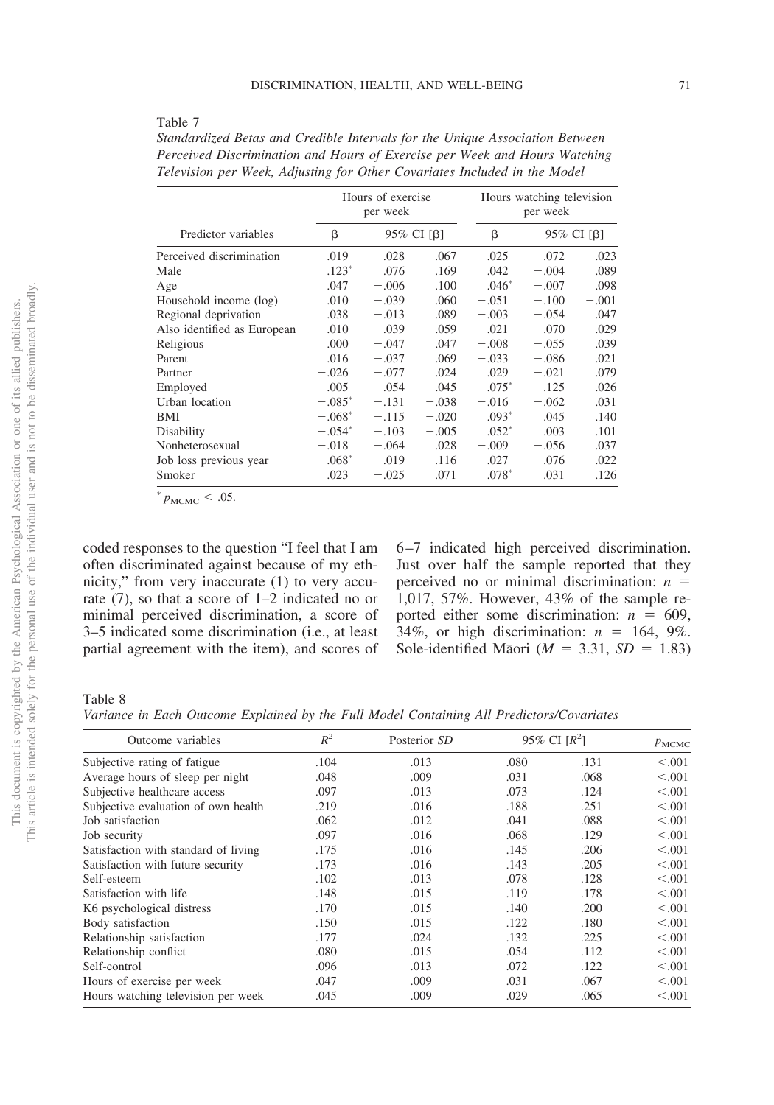### <span id="page-10-0"></span>Table 7

| Standardized Betas and Credible Intervals for the Unique Association Between |  |
|------------------------------------------------------------------------------|--|
| Perceived Discrimination and Hours of Exercise per Week and Hours Watching   |  |
| Television per Week, Adjusting for Other Covariates Included in the Model    |  |

|                             |                 | Hours of exercise<br>per week |         |          | Hours watching television<br>per week |         |  |  |
|-----------------------------|-----------------|-------------------------------|---------|----------|---------------------------------------|---------|--|--|
| Predictor variables         | 95% CI [β]<br>β |                               |         | β        | 95% CI [β]                            |         |  |  |
| Perceived discrimination    | .019            | $-.028$                       | .067    | $-.025$  | $-.072$                               | .023    |  |  |
| Male                        | $.123*$         | .076                          | .169    | .042     | $-.004$                               | .089    |  |  |
| Age                         | .047            | $-.006$                       | .100    | $.046*$  | $-.007$                               | .098    |  |  |
| Household income (log)      | .010            | $-.039$                       | .060    | $-.051$  | $-.100$                               | $-.001$ |  |  |
| Regional deprivation        | .038            | $-.013$                       | .089    | $-.003$  | $-.054$                               | .047    |  |  |
| Also identified as European | .010            | $-.039$                       | .059    | $-.021$  | $-.070$                               | .029    |  |  |
| Religious                   | .000            | $-.047$                       | .047    | $-.008$  | $-.055$                               | .039    |  |  |
| Parent                      | .016            | $-.037$                       | .069    | $-.033$  | $-.086$                               | .021    |  |  |
| Partner                     | $-.026$         | $-.077$                       | .024    | .029     | $-.021$                               | .079    |  |  |
| Employed                    | $-.005$         | $-.054$                       | .045    | $-.075*$ | $-.125$                               | $-.026$ |  |  |
| Urban location              | $-.085*$        | $-.131$                       | $-.038$ | $-.016$  | $-.062$                               | .031    |  |  |
| BMI                         | $-.068*$        | $-.115$                       | $-.020$ | $.093*$  | .045                                  | .140    |  |  |
| Disability                  | $-.054*$        | $-.103$                       | $-.005$ | $.052*$  | .003                                  | .101    |  |  |
| Nonheterosexual             | $-.018$         | $-.064$                       | .028    | $-.009$  | $-.056$                               | .037    |  |  |
| Job loss previous year      | $.068*$         | .019                          | .116    | $-.027$  | $-.076$                               | .022    |  |  |
| Smoker                      | .023            | $-.025$                       | .071    | $.078*$  | .031                                  | .126    |  |  |

 $^{*}$   $p_{\text{MCMC}}$  < .05.

coded responses to the question "I feel that I am often discriminated against because of my ethnicity," from very inaccurate (1) to very accurate (7), so that a score of 1–2 indicated no or minimal perceived discrimination, a score of 3–5 indicated some discrimination (i.e., at least partial agreement with the item), and scores of 6–7 indicated high perceived discrimination. Just over half the sample reported that they perceived no or minimal discrimination: *n* 1,017, 57%. However, 43% of the sample reported either some discrimination:  $n = 609$ , 34%, or high discrimination:  $n = 164, 9\%$ . Sole-identified Maori ( $M = 3.31$ ,  $SD = 1.83$ )

### <span id="page-10-1"></span>Table 8

*Variance in Each Outcome Explained by the Full Model Containing All Predictors/Covariates*

| Outcome variables<br>Subjective rating of fatigue | $R^2$<br>.104 | Posterior SD<br>.013 | 95% CI $[R^2]$ |      | $p_{\text{MCMC}}$ |
|---------------------------------------------------|---------------|----------------------|----------------|------|-------------------|
|                                                   |               |                      | .080           | .131 | < 0.001           |
| Average hours of sleep per night                  | .048          | .009                 | .031           | .068 | < 0.001           |
| Subjective healthcare access                      | .097          | .013                 | .073           | .124 | < 0.001           |
| Subjective evaluation of own health               | .219          | .016                 | .188           | .251 | < 0.001           |
| Job satisfaction                                  | .062          | .012                 | .041           | .088 | < 0.001           |
| Job security                                      | .097          | .016                 | .068           | .129 | < 0.001           |
| Satisfaction with standard of living              | .175          | .016                 | .145           | .206 | < 0.001           |
| Satisfaction with future security                 | .173          | .016                 | .143           | .205 | < 0.001           |
| Self-esteem                                       | .102          | .013                 | .078           | .128 | < 0.01            |
| Satisfaction with life                            | .148          | .015                 | .119           | .178 | < 0.001           |
| K6 psychological distress                         | .170          | .015                 | .140           | .200 | < 0.001           |
| Body satisfaction                                 | .150          | .015                 | .122           | .180 | < 0.001           |
| Relationship satisfaction                         | .177          | .024                 | .132           | .225 | < 0.001           |
| Relationship conflict                             | .080          | .015                 | .054           | .112 | < 0.001           |
| Self-control                                      | .096          | .013                 | .072           | .122 | < 0.001           |
| Hours of exercise per week                        | .047          | .009                 | .031           | .067 | < 0.001           |
| Hours watching television per week                | .045          | .009                 | .029           | .065 | < 0.001           |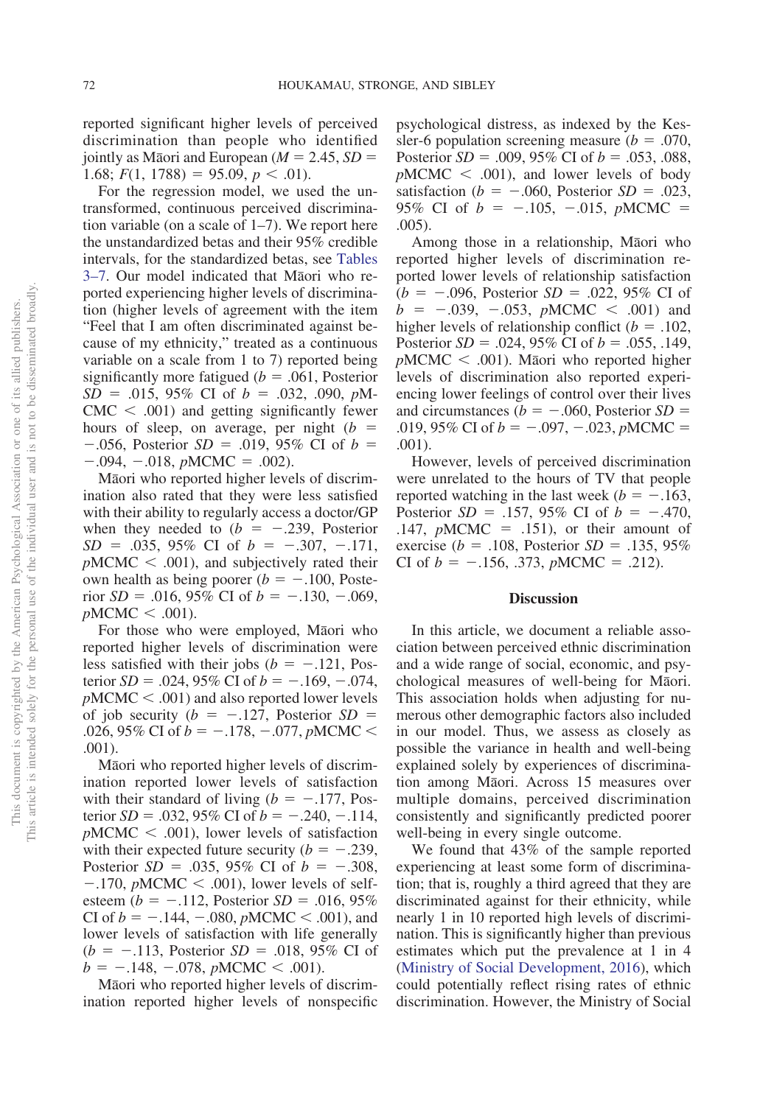reported significant higher levels of perceived discrimination than people who identified jointly as Māori and European ( $M = 2.45$ ,  $SD =$ 1.68;  $F(1, 1788) = 95.09, p < .01$ .

For the regression model, we used the untransformed, continuous perceived discrimination variable (on a scale of 1–7). We report here the unstandardized betas and their 95% credible intervals, for the standardized betas, see [Tables](#page-10-0) [3–7.](#page-10-0) Our model indicated that Māori who reported experiencing higher levels of discrimination (higher levels of agreement with the item "Feel that I am often discriminated against because of my ethnicity," treated as a continuous variable on a scale from 1 to 7) reported being significantly more fatigued ( $b = .061$ , Posterior  $SD = .015, 95\%$  CI of  $b = .032, .090, pM$  $CMC < .001$ ) and getting significantly fewer hours of sleep, on average, per night (*b*  $-.056$ , Posterior *SD* = .019, 95% CI of *b* =  $-.094, -.018, pMCMC = .002$ .

Māori who reported higher levels of discrimination also rated that they were less satisfied with their ability to regularly access a doctor/GP when they needed to  $(b = -.239,$  Posterior  $SD = .035, 95\% \text{ CI of } b = -.307, -.171,$  $pMCMC < .001$ , and subjectively rated their own health as being poorer ( $b = -.100$ , Posterior  $SD = .016$ , 95% CI of  $b = -.130, -.069$ ,  $pMCMC < .001$ ).

For those who were employed, Māori who reported higher levels of discrimination were less satisfied with their jobs  $(b = -.121, Pos$ terior  $SD = .024, 95\%$  CI of  $b = -.169, -.074,$  $pMCMC < .001$ ) and also reported lower levels of job security ( $b = -.127$ , Posterior  $SD =$ .026, 95% CI of  $b = -.178, -.077, pMCMC <$ .001).

Māori who reported higher levels of discrimination reported lower levels of satisfaction with their standard of living ( $b = -.177$ , Posterior *SD* = .032, 95% CI of  $b = -.240, -.114,$  $pMCMC < .001$ , lower levels of satisfaction with their expected future security  $(b = -.239, ...)$ Posterior  $SD = .035, 95\%$  CI of  $b = -.308$ ,  $-.170$ , *pMCMC*  $\lt$  .001), lower levels of selfesteem ( $b = -.112$ , Posterior *SD* = .016, 95% CI of  $b = -.144, -.080, pMCMC < .001$ ), and lower levels of satisfaction with life generally  $(b = -.113, Posterior SD = .018, 95\% CI of$  $b = -.148, -.078, pMCMC < .001$ .

Māori who reported higher levels of discrimination reported higher levels of nonspecific

psychological distress, as indexed by the Kessler-6 population screening measure  $(b = .070, )$ Posterior  $SD = .009, 95\%$  CI of  $b = .053, .088$ ,  $pMCMC < .001$ , and lower levels of body satisfaction ( $b = -.060$ , Posterior  $SD = .023$ , 95% CI of  $b = -.105, -.015, pMCMC =$ .005).

Among those in a relationship, Māori who reported higher levels of discrimination reported lower levels of relationship satisfaction  $(b = -.096, Posterior SD = .022, 95\% CI of$  $b = -.039, -.053, pMCMC < .001)$  and higher levels of relationship conflict  $(b = .102, )$ Posterior  $SD = .024, 95\%$  CI of  $b = .055, .149$ ,  $pMCMC < .001$ ). Maori who reported higher levels of discrimination also reported experiencing lower feelings of control over their lives and circumstances ( $b = -.060$ , Posterior *SD* = .019, 95% CI of  $b = -.097, -.023, pMCMC =$ .001).

However, levels of perceived discrimination were unrelated to the hours of TV that people reported watching in the last week ( $b = -.163$ , Posterior  $SD = .157, 95\%$  CI of  $b = -.470,$ .147,  $pMCMC = .151$ , or their amount of exercise ( $b = .108$ , Posterior *SD* = .135, 95% CI of  $b = -.156, .373, pMCMC = .212$ .

#### **Discussion**

In this article, we document a reliable association between perceived ethnic discrimination and a wide range of social, economic, and psychological measures of well-being for Māori. This association holds when adjusting for numerous other demographic factors also included in our model. Thus, we assess as closely as possible the variance in health and well-being explained solely by experiences of discrimination among Māori. Across 15 measures over multiple domains, perceived discrimination consistently and significantly predicted poorer well-being in every single outcome.

We found that 43% of the sample reported experiencing at least some form of discrimination; that is, roughly a third agreed that they are discriminated against for their ethnicity, while nearly 1 in 10 reported high levels of discrimination. This is significantly higher than previous estimates which put the prevalence at 1 in 4 [\(Ministry of Social Development, 2016\)](#page-17-9), which could potentially reflect rising rates of ethnic discrimination. However, the Ministry of Social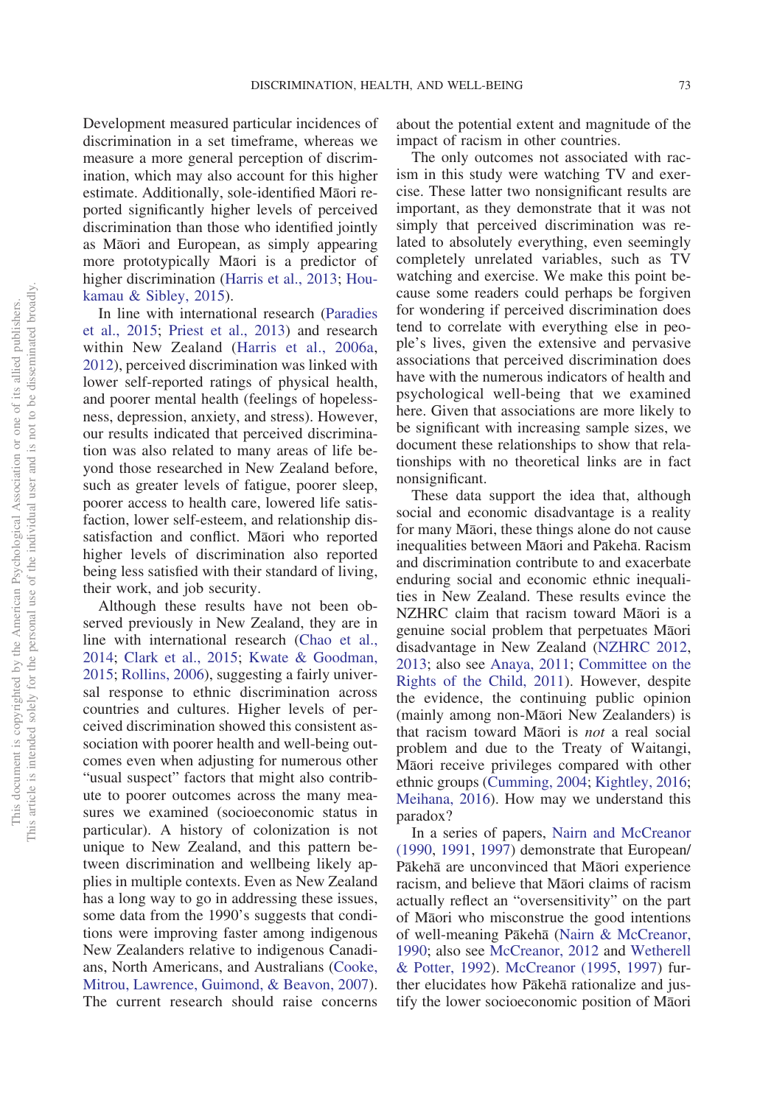Development measured particular incidences of discrimination in a set timeframe, whereas we measure a more general perception of discrimination, which may also account for this higher estimate. Additionally, sole-identified Māori reported significantly higher levels of perceived discrimination than those who identified jointly as Māori and European, as simply appearing more prototypically Māori is a predictor of higher discrimination [\(Harris et al., 2013;](#page-16-2) [Hou](#page-16-13)[kamau & Sibley, 2015\)](#page-16-13).

In line with international research [\(Paradies](#page-18-2) [et al., 2015;](#page-18-2) [Priest et al., 2013\)](#page-18-17) and research within New Zealand [\(Harris et al., 2006a,](#page-16-0) [2012\)](#page-16-9), perceived discrimination was linked with lower self-reported ratings of physical health, and poorer mental health (feelings of hopelessness, depression, anxiety, and stress). However, our results indicated that perceived discrimination was also related to many areas of life beyond those researched in New Zealand before, such as greater levels of fatigue, poorer sleep, poorer access to health care, lowered life satisfaction, lower self-esteem, and relationship dissatisfaction and conflict. Māori who reported higher levels of discrimination also reported being less satisfied with their standard of living, their work, and job security.

Although these results have not been observed previously in New Zealand, they are in line with international research [\(Chao et al.,](#page-15-7) [2014;](#page-15-7) [Clark et al., 2015;](#page-15-10) [Kwate & Goodman,](#page-17-12) [2015;](#page-17-12) [Rollins, 2006\)](#page-18-15), suggesting a fairly universal response to ethnic discrimination across countries and cultures. Higher levels of perceived discrimination showed this consistent association with poorer health and well-being outcomes even when adjusting for numerous other "usual suspect" factors that might also contribute to poorer outcomes across the many measures we examined (socioeconomic status in particular). A history of colonization is not unique to New Zealand, and this pattern between discrimination and wellbeing likely applies in multiple contexts. Even as New Zealand has a long way to go in addressing these issues, some data from the 1990's suggests that conditions were improving faster among indigenous New Zealanders relative to indigenous Canadians, North Americans, and Australians [\(Cooke,](#page-15-14) [Mitrou, Lawrence, Guimond, & Beavon, 2007\)](#page-15-14). The current research should raise concerns

about the potential extent and magnitude of the impact of racism in other countries.

The only outcomes not associated with racism in this study were watching TV and exercise. These latter two nonsignificant results are important, as they demonstrate that it was not simply that perceived discrimination was related to absolutely everything, even seemingly completely unrelated variables, such as TV watching and exercise. We make this point because some readers could perhaps be forgiven for wondering if perceived discrimination does tend to correlate with everything else in people's lives, given the extensive and pervasive associations that perceived discrimination does have with the numerous indicators of health and psychological well-being that we examined here. Given that associations are more likely to be significant with increasing sample sizes, we document these relationships to show that relationships with no theoretical links are in fact nonsignificant.

These data support the idea that, although social and economic disadvantage is a reality for many Māori, these things alone do not cause inequalities between Māori and Pākehā. Racism and discrimination contribute to and exacerbate enduring social and economic ethnic inequalities in New Zealand. These results evince the NZHRC claim that racism toward Māori is a genuine social problem that perpetuates Māori disadvantage in New Zealand [\(NZHRC 2012,](#page-18-0) [2013;](#page-18-1) also see [Anaya, 2011;](#page-14-0) [Committee on the](#page-15-15) [Rights of the Child, 2011\)](#page-15-15). However, despite the evidence, the continuing public opinion (mainly among non-Māori New Zealanders) is that racism toward Maori is *not* a real social problem and due to the Treaty of Waitangi, Māori receive privileges compared with other ethnic groups [\(Cumming, 2004;](#page-15-0) [Kightley, 2016;](#page-16-1) [Meihana, 2016\)](#page-17-4). How may we understand this paradox?

In a series of papers, [Nairn and McCreanor](#page-17-18) [\(1990,](#page-17-18) [1991,](#page-17-19) [1997\)](#page-17-20) demonstrate that European/ Pākehā are unconvinced that Māori experience racism, and believe that Māori claims of racism actually reflect an "oversensitivity" on the part of Māori who misconstrue the good intentions of well-meaning Pākehā [\(Nairn & McCreanor,](#page-17-18) [1990;](#page-17-18) also see [McCreanor, 2012](#page-17-21) and [Wetherell](#page-19-18) [& Potter, 1992\)](#page-19-18). [McCreanor \(1995,](#page-17-22) [1997\)](#page-17-23) further elucidates how Pākehā rationalize and justify the lower socioeconomic position of Māori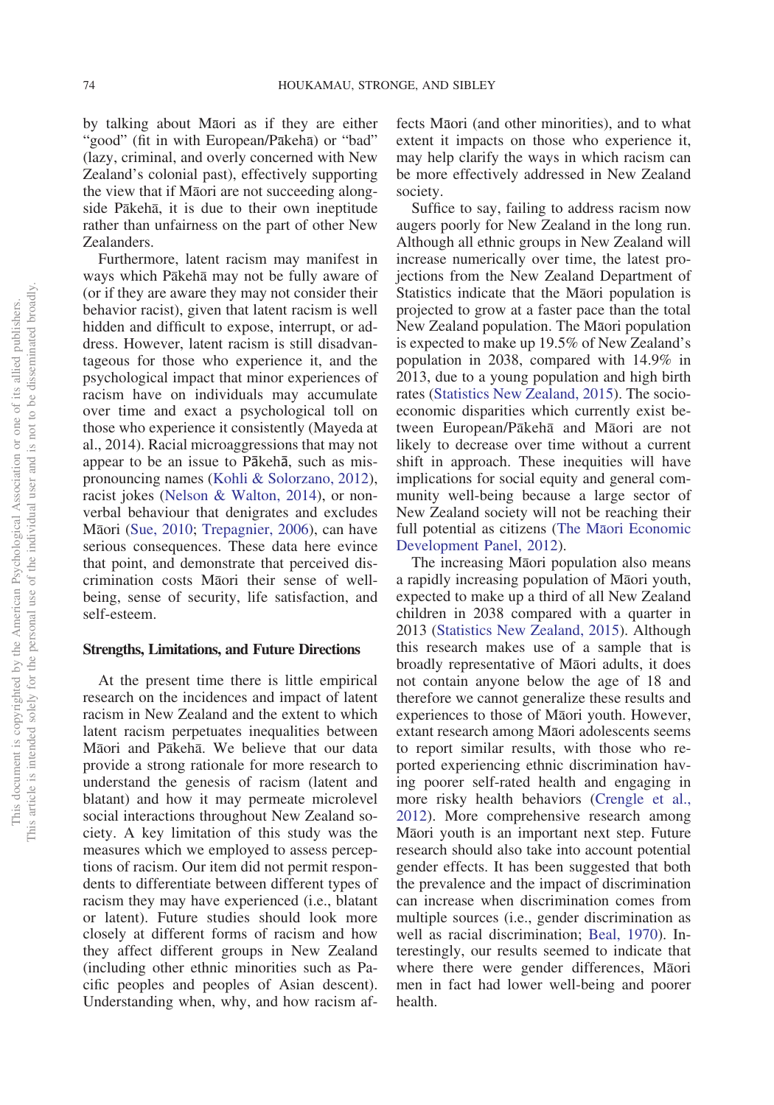by talking about Māori as if they are either "good" (fit in with European/Pākehā) or "bad" (lazy, criminal, and overly concerned with New Zealand's colonial past), effectively supporting the view that if Maori are not succeeding alongside Pākehā, it is due to their own ineptitude rather than unfairness on the part of other New Zealanders.

Furthermore, latent racism may manifest in ways which Pākehā may not be fully aware of (or if they are aware they may not consider their behavior racist), given that latent racism is well hidden and difficult to expose, interrupt, or address. However, latent racism is still disadvantageous for those who experience it, and the psychological impact that minor experiences of racism have on individuals may accumulate over time and exact a psychological toll on those who experience it consistently (Mayeda at al., 2014). Racial microaggressions that may not appear to be an issue to Pākehā, such as mispronouncing names [\(Kohli & Solorzano, 2012\)](#page-17-24), racist jokes [\(Nelson & Walton, 2014\)](#page-17-7), or nonverbal behaviour that denigrates and excludes Māori [\(Sue, 2010;](#page-19-7) [Trepagnier, 2006\)](#page-19-8), can have serious consequences. These data here evince that point, and demonstrate that perceived discrimination costs Māori their sense of wellbeing, sense of security, life satisfaction, and self-esteem.

#### **Strengths, Limitations, and Future Directions**

At the present time there is little empirical research on the incidences and impact of latent racism in New Zealand and the extent to which latent racism perpetuates inequalities between Māori and Pākehā. We believe that our data provide a strong rationale for more research to understand the genesis of racism (latent and blatant) and how it may permeate microlevel social interactions throughout New Zealand society. A key limitation of this study was the measures which we employed to assess perceptions of racism. Our item did not permit respondents to differentiate between different types of racism they may have experienced (i.e., blatant or latent). Future studies should look more closely at different forms of racism and how they affect different groups in New Zealand (including other ethnic minorities such as Pacific peoples and peoples of Asian descent). Understanding when, why, and how racism af-

fects Māori (and other minorities), and to what extent it impacts on those who experience it, may help clarify the ways in which racism can be more effectively addressed in New Zealand society.

Suffice to say, failing to address racism now augers poorly for New Zealand in the long run. Although all ethnic groups in New Zealand will increase numerically over time, the latest projections from the New Zealand Department of Statistics indicate that the Māori population is projected to grow at a faster pace than the total New Zealand population. The Māori population is expected to make up 19.5% of New Zealand's population in 2038, compared with 14.9% in 2013, due to a young population and high birth rates [\(Statistics New Zealand, 2015\)](#page-19-0). The socioeconomic disparities which currently exist between European/Pākehā and Māori are not likely to decrease over time without a current shift in approach. These inequities will have implications for social equity and general community well-being because a large sector of New Zealand society will not be reaching their full potential as citizens (The Mā[ori Economic](#page-19-19) [Development Panel, 2012\)](#page-19-19).

The increasing Māori population also means a rapidly increasing population of Māori youth, expected to make up a third of all New Zealand children in 2038 compared with a quarter in 2013 [\(Statistics New Zealand, 2015\)](#page-19-0). Although this research makes use of a sample that is broadly representative of Māori adults, it does not contain anyone below the age of 18 and therefore we cannot generalize these results and experiences to those of Māori youth. However, extant research among Māori adolescents seems to report similar results, with those who reported experiencing ethnic discrimination having poorer self-rated health and engaging in more risky health behaviors [\(Crengle et al.,](#page-15-9) [2012\)](#page-15-9). More comprehensive research among Māori youth is an important next step. Future research should also take into account potential gender effects. It has been suggested that both the prevalence and the impact of discrimination can increase when discrimination comes from multiple sources (i.e., gender discrimination as well as racial discrimination; [Beal, 1970\)](#page-15-16). Interestingly, our results seemed to indicate that where there were gender differences, Māori men in fact had lower well-being and poorer health.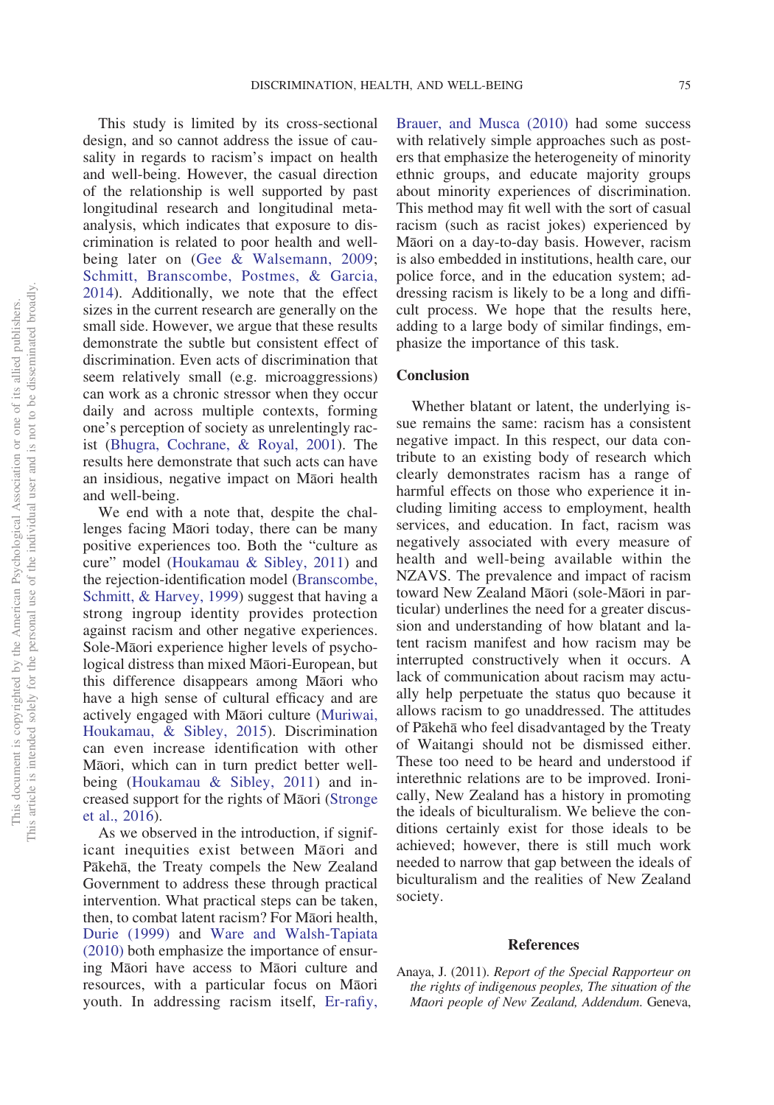This study is limited by its cross-sectional design, and so cannot address the issue of causality in regards to racism's impact on health and well-being. However, the casual direction of the relationship is well supported by past longitudinal research and longitudinal metaanalysis, which indicates that exposure to discrimination is related to poor health and well-being later on [\(Gee & Walsemann, 2009;](#page-16-21) [Schmitt, Branscombe, Postmes, & Garcia,](#page-18-22) [2014\)](#page-18-22). Additionally, we note that the effect sizes in the current research are generally on the small side. However, we argue that these results demonstrate the subtle but consistent effect of discrimination. Even acts of discrimination that seem relatively small (e.g. microaggressions) can work as a chronic stressor when they occur daily and across multiple contexts, forming one's perception of society as unrelentingly racist [\(Bhugra, Cochrane, & Royal, 2001\)](#page-15-6). The results here demonstrate that such acts can have an insidious, negative impact on Māori health and well-being.

We end with a note that, despite the challenges facing Māori today, there can be many positive experiences too. Both the "culture as cure" model [\(Houkamau & Sibley, 2011\)](#page-16-22) and the rejection-identification model [\(Branscombe,](#page-15-17) [Schmitt, & Harvey, 1999\)](#page-15-17) suggest that having a strong ingroup identity provides protection against racism and other negative experiences. Sole-Māori experience higher levels of psychological distress than mixed Māori-European, but this difference disappears among Māori who have a high sense of cultural efficacy and are actively engaged with Māori culture [\(Muriwai,](#page-17-25) [Houkamau, & Sibley, 2015\)](#page-17-25). Discrimination can even increase identification with other Māori, which can in turn predict better wellbeing [\(Houkamau & Sibley, 2011\)](#page-16-22) and in-creased support for the rights of Māori [\(Stronge](#page-19-20) [et al., 2016\)](#page-19-20).

As we observed in the introduction, if significant inequities exist between Māori and Pākehā, the Treaty compels the New Zealand Government to address these through practical intervention. What practical steps can be taken, then, to combat latent racism? For Māori health, [Durie \(1999\)](#page-15-18) and [Ware and Walsh-Tapiata](#page-19-21) [\(2010\)](#page-19-21) both emphasize the importance of ensuring Māori have access to Māori culture and resources, with a particular focus on Māori youth. In addressing racism itself, [Er-rafiy,](#page-15-19)

[Brauer, and Musca \(2010\)](#page-15-19) had some success with relatively simple approaches such as posters that emphasize the heterogeneity of minority ethnic groups, and educate majority groups about minority experiences of discrimination. This method may fit well with the sort of casual racism (such as racist jokes) experienced by Māori on a day-to-day basis. However, racism is also embedded in institutions, health care, our police force, and in the education system; addressing racism is likely to be a long and difficult process. We hope that the results here, adding to a large body of similar findings, emphasize the importance of this task.

### **Conclusion**

Whether blatant or latent, the underlying issue remains the same: racism has a consistent negative impact. In this respect, our data contribute to an existing body of research which clearly demonstrates racism has a range of harmful effects on those who experience it including limiting access to employment, health services, and education. In fact, racism was negatively associated with every measure of health and well-being available within the NZAVS. The prevalence and impact of racism toward New Zealand Māori (sole-Māori in particular) underlines the need for a greater discussion and understanding of how blatant and latent racism manifest and how racism may be interrupted constructively when it occurs. A lack of communication about racism may actually help perpetuate the status quo because it allows racism to go unaddressed. The attitudes of Pākehā who feel disadvantaged by the Treaty of Waitangi should not be dismissed either. These too need to be heard and understood if interethnic relations are to be improved. Ironically, New Zealand has a history in promoting the ideals of biculturalism. We believe the conditions certainly exist for those ideals to be achieved; however, there is still much work needed to narrow that gap between the ideals of biculturalism and the realities of New Zealand society.

### **References**

<span id="page-14-0"></span>Anaya, J. (2011). *Report of the Special Rapporteur on the rights of indigenous peoples, The situation of the Ma*-*ori people of New Zealand, Addendum*. Geneva,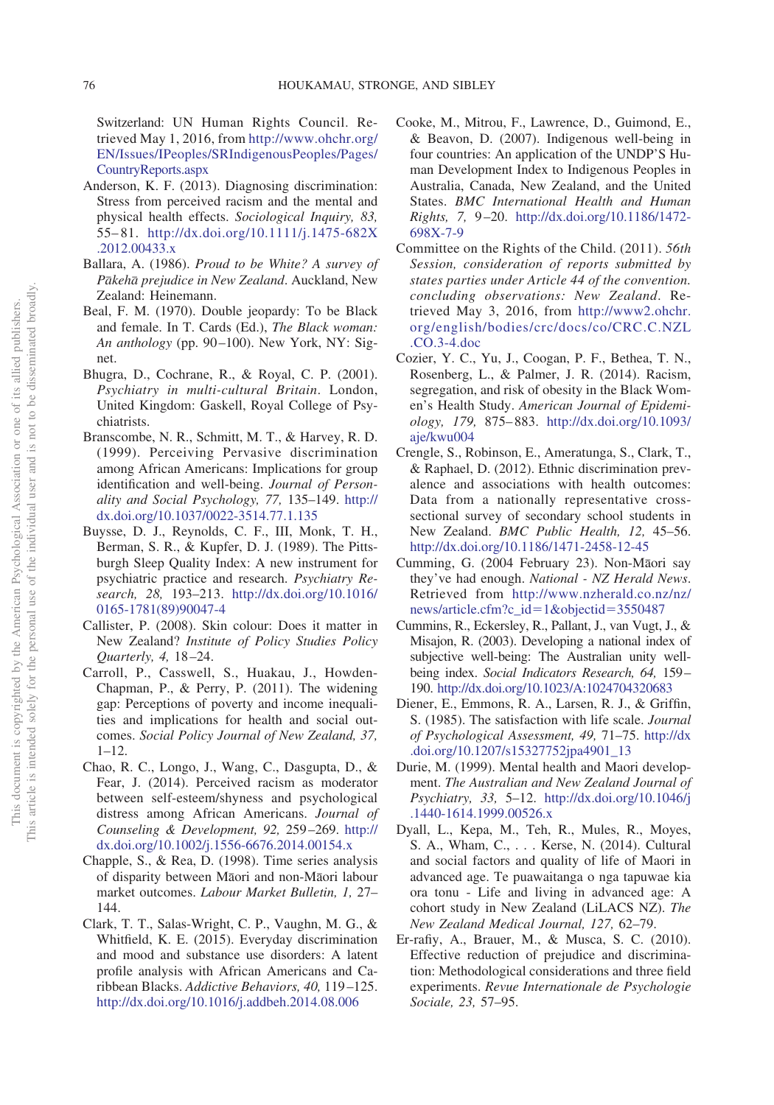Switzerland: UN Human Rights Council. Retrieved May 1, 2016, from [http://www.ohchr.org/](http://www.ohchr.org/EN/Issues/IPeoples/SRIndigenousPeoples/Pages/CountryReports.aspx) [EN/Issues/IPeoples/SRIndigenousPeoples/Pages/](http://www.ohchr.org/EN/Issues/IPeoples/SRIndigenousPeoples/Pages/CountryReports.aspx) [CountryReports.aspx](http://www.ohchr.org/EN/Issues/IPeoples/SRIndigenousPeoples/Pages/CountryReports.aspx)

- <span id="page-15-8"></span>Anderson, K. F. (2013). Diagnosing discrimination: Stress from perceived racism and the mental and physical health effects. *Sociological Inquiry, 83,* 55–81. [http://dx.doi.org/10.1111/j.1475-682X](http://dx.doi.org/10.1111/j.1475-682X.2012.00433.x) [.2012.00433.x](http://dx.doi.org/10.1111/j.1475-682X.2012.00433.x)
- <span id="page-15-3"></span>Ballara, A. (1986). *Proud to be White? A survey of Pa*-*keha*- *prejudice in New Zealand*. Auckland, New Zealand: Heinemann.
- <span id="page-15-16"></span>Beal, F. M. (1970). Double jeopardy: To be Black and female. In T. Cards (Ed.), *The Black woman: An anthology* (pp. 90–100). New York, NY: Signet.
- <span id="page-15-6"></span>Bhugra, D., Cochrane, R., & Royal, C. P. (2001). *Psychiatry in multi-cultural Britain*. London, United Kingdom: Gaskell, Royal College of Psychiatrists.
- <span id="page-15-17"></span>Branscombe, N. R., Schmitt, M. T., & Harvey, R. D. (1999). Perceiving Pervasive discrimination among African Americans: Implications for group identification and well-being. *Journal of Personality and Social Psychology, 77,* 135–149. [http://](http://dx.doi.org/10.1037/0022-3514.77.1.135) [dx.doi.org/10.1037/0022-3514.77.1.135](http://dx.doi.org/10.1037/0022-3514.77.1.135)
- <span id="page-15-11"></span>Buysse, D. J., Reynolds, C. F., III, Monk, T. H., Berman, S. R., & Kupfer, D. J. (1989). The Pittsburgh Sleep Quality Index: A new instrument for psychiatric practice and research. *Psychiatry Research, 28,* 193–213. [http://dx.doi.org/10.1016/](http://dx.doi.org/10.1016/0165-1781%2889%2990047-4) [0165-1781\(89\)90047-4](http://dx.doi.org/10.1016/0165-1781%2889%2990047-4)
- <span id="page-15-4"></span>Callister, P. (2008). Skin colour: Does it matter in New Zealand? *Institute of Policy Studies Policy Quarterly, 4,* 18–24.
- <span id="page-15-2"></span>Carroll, P., Casswell, S., Huakau, J., Howden-Chapman, P., & Perry, P. (2011). The widening gap: Perceptions of poverty and income inequalities and implications for health and social outcomes. *Social Policy Journal of New Zealand, 37,*  $1 - 12$ .
- <span id="page-15-7"></span>Chao, R. C., Longo, J., Wang, C., Dasgupta, D., & Fear, J. (2014). Perceived racism as moderator between self-esteem/shyness and psychological distress among African Americans. *Journal of Counseling & Development, 92,* 259–269. [http://](http://dx.doi.org/10.1002/j.1556-6676.2014.00154.x) [dx.doi.org/10.1002/j.1556-6676.2014.00154.x](http://dx.doi.org/10.1002/j.1556-6676.2014.00154.x)
- <span id="page-15-5"></span>Chapple, S., & Rea, D. (1998). Time series analysis of disparity between Māori and non-Māori labour market outcomes. *Labour Market Bulletin, 1,* 27– 144.
- <span id="page-15-10"></span>Clark, T. T., Salas-Wright, C. P., Vaughn, M. G., & Whitfield, K. E. (2015). Everyday discrimination and mood and substance use disorders: A latent profile analysis with African Americans and Caribbean Blacks. *Addictive Behaviors, 40,* 119–125. <http://dx.doi.org/10.1016/j.addbeh.2014.08.006>
- <span id="page-15-14"></span>Cooke, M., Mitrou, F., Lawrence, D., Guimond, E., & Beavon, D. (2007). Indigenous well-being in four countries: An application of the UNDP'S Human Development Index to Indigenous Peoples in Australia, Canada, New Zealand, and the United States. *BMC International Health and Human Rights, 7,* 9–20. [http://dx.doi.org/10.1186/1472-](http://dx.doi.org/10.1186/1472-698X-7-9) [698X-7-9](http://dx.doi.org/10.1186/1472-698X-7-9)
- <span id="page-15-15"></span>Committee on the Rights of the Child. (2011). *56th Session, consideration of reports submitted by states parties under Article 44 of the convention. concluding observations: New Zealand*. Retrieved May 3, 2016, from [http://www2.ohchr.](http://www2.ohchr.org/english/bodies/crc/docs/co/CRC.C.NZL.CO.3-4.doc) [org/english/bodies/crc/docs/co/CRC.C.NZL](http://www2.ohchr.org/english/bodies/crc/docs/co/CRC.C.NZL.CO.3-4.doc) [.CO.3-4.doc](http://www2.ohchr.org/english/bodies/crc/docs/co/CRC.C.NZL.CO.3-4.doc)
- Cozier, Y. C., Yu, J., Coogan, P. F., Bethea, T. N., Rosenberg, L., & Palmer, J. R. (2014). Racism, segregation, and risk of obesity in the Black Women's Health Study. *American Journal of Epidemiology, 179,* 875–883. [http://dx.doi.org/10.1093/](http://dx.doi.org/10.1093/aje/kwu004) [aje/kwu004](http://dx.doi.org/10.1093/aje/kwu004)
- <span id="page-15-9"></span>Crengle, S., Robinson, E., Ameratunga, S., Clark, T., & Raphael, D. (2012). Ethnic discrimination prevalence and associations with health outcomes: Data from a nationally representative crosssectional survey of secondary school students in New Zealand. *BMC Public Health, 12,* 45–56. <http://dx.doi.org/10.1186/1471-2458-12-45>
- <span id="page-15-0"></span>Cumming, G. (2004 February 23). Non-Māori say they've had enough. *National - NZ Herald News*. Retrieved from [http://www.nzherald.co.nz/nz/](http://www.nzherald.co.nz/nz/news/article.cfm?c_id=1&objectid=3550487) [news/article.cfm?c\\_id](http://www.nzherald.co.nz/nz/news/article.cfm?c_id=1&objectid=3550487)=1&objectid=3550487
- <span id="page-15-12"></span>Cummins, R., Eckersley, R., Pallant, J., van Vugt, J., & Misajon, R. (2003). Developing a national index of subjective well-being: The Australian unity wellbeing index. *Social Indicators Research, 64,* 159– 190. <http://dx.doi.org/10.1023/A:1024704320683>
- <span id="page-15-13"></span>Diener, E., Emmons, R. A., Larsen, R. J., & Griffin, S. (1985). The satisfaction with life scale. *Journal of Psychological Assessment, 49,* 71–75. [http://dx](http://dx.doi.org/10.1207/s15327752jpa4901_13) [.doi.org/10.1207/s15327752jpa4901\\_13](http://dx.doi.org/10.1207/s15327752jpa4901_13)
- <span id="page-15-18"></span>Durie, M. (1999). Mental health and Maori development. *The Australian and New Zealand Journal of Psychiatry, 33,* 5–12. [http://dx.doi.org/10.1046/j](http://dx.doi.org/10.1046/j.1440-1614.1999.00526.x) [.1440-1614.1999.00526.x](http://dx.doi.org/10.1046/j.1440-1614.1999.00526.x)
- <span id="page-15-1"></span>Dyall, L., Kepa, M., Teh, R., Mules, R., Moyes, S. A., Wham, C.,... Kerse, N. (2014). Cultural and social factors and quality of life of Maori in advanced age. Te puawaitanga o nga tapuwae kia ora tonu - Life and living in advanced age: A cohort study in New Zealand (LiLACS NZ). *The New Zealand Medical Journal, 127,* 62–79.
- <span id="page-15-19"></span>Er-rafiy, A., Brauer, M., & Musca, S. C. (2010). Effective reduction of prejudice and discrimination: Methodological considerations and three field experiments. *Revue Internationale de Psychologie Sociale, 23,* 57–95.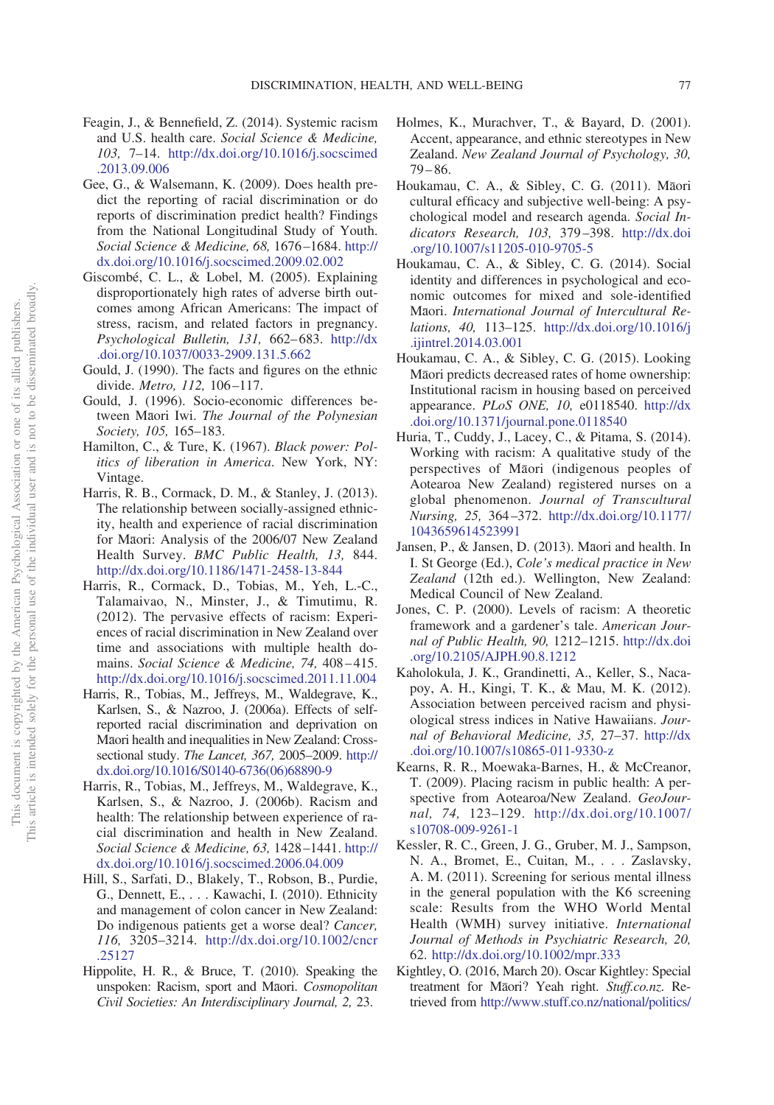- <span id="page-16-14"></span>Feagin, J., & Bennefield, Z. (2014). Systemic racism and U.S. health care. *Social Science & Medicine, 103,* 7–14. [http://dx.doi.org/10.1016/j.socscimed](http://dx.doi.org/10.1016/j.socscimed.2013.09.006) [.2013.09.006](http://dx.doi.org/10.1016/j.socscimed.2013.09.006)
- <span id="page-16-21"></span>Gee, G., & Walsemann, K. (2009). Does health predict the reporting of racial discrimination or do reports of discrimination predict health? Findings from the National Longitudinal Study of Youth. *Social Science & Medicine, 68,* 1676–1684. [http://](http://dx.doi.org/10.1016/j.socscimed.2009.02.002) [dx.doi.org/10.1016/j.socscimed.2009.02.002](http://dx.doi.org/10.1016/j.socscimed.2009.02.002)
- <span id="page-16-15"></span>Giscombé, C. L., & Lobel, M. (2005). Explaining disproportionately high rates of adverse birth outcomes among African Americans: The impact of stress, racism, and related factors in pregnancy. *Psychological Bulletin, 131,* 662–683. [http://dx](http://dx.doi.org/10.1037/0033-2909.131.5.662) [.doi.org/10.1037/0033-2909.131.5.662](http://dx.doi.org/10.1037/0033-2909.131.5.662)
- <span id="page-16-10"></span>Gould, J. (1990). The facts and figures on the ethnic divide. *Metro, 112,* 106–117.
- <span id="page-16-11"></span>Gould, J. (1996). Socio-economic differences between Māori Iwi. *The Journal of the Polynesian Society, 105,* 165–183.
- <span id="page-16-4"></span>Hamilton, C., & Ture, K. (1967). *Black power: Politics of liberation in America*. New York, NY: Vintage.
- <span id="page-16-2"></span>Harris, R. B., Cormack, D. M., & Stanley, J. (2013). The relationship between socially-assigned ethnicity, health and experience of racial discrimination for Māori: Analysis of the 2006/07 New Zealand Health Survey. *BMC Public Health, 13,* 844. <http://dx.doi.org/10.1186/1471-2458-13-844>
- <span id="page-16-9"></span>Harris, R., Cormack, D., Tobias, M., Yeh, L.-C., Talamaivao, N., Minster, J., & Timutimu, R. (2012). The pervasive effects of racism: Experiences of racial discrimination in New Zealand over time and associations with multiple health domains. *Social Science & Medicine, 74,* 408–415. <http://dx.doi.org/10.1016/j.socscimed.2011.11.004>
- <span id="page-16-0"></span>Harris, R., Tobias, M., Jeffreys, M., Waldegrave, K., Karlsen, S., & Nazroo, J. (2006a). Effects of selfreported racial discrimination and deprivation on Māori health and inequalities in New Zealand: Crosssectional study. *The Lancet, 367,* 2005–2009. [http://](http://dx.doi.org/10.1016/S0140-6736%2806%2968890-9) [dx.doi.org/10.1016/S0140-6736\(06\)68890-9](http://dx.doi.org/10.1016/S0140-6736%2806%2968890-9)
- <span id="page-16-17"></span>Harris, R., Tobias, M., Jeffreys, M., Waldegrave, K., Karlsen, S., & Nazroo, J. (2006b). Racism and health: The relationship between experience of racial discrimination and health in New Zealand. *Social Science & Medicine, 63,* 1428–1441. [http://](http://dx.doi.org/10.1016/j.socscimed.2006.04.009) [dx.doi.org/10.1016/j.socscimed.2006.04.009](http://dx.doi.org/10.1016/j.socscimed.2006.04.009)
- <span id="page-16-7"></span>Hill, S., Sarfati, D., Blakely, T., Robson, B., Purdie, G., Dennett, E.,... Kawachi, I. (2010). Ethnicity and management of colon cancer in New Zealand: Do indigenous patients get a worse deal? *Cancer, 116,* 3205–3214. [http://dx.doi.org/10.1002/cncr](http://dx.doi.org/10.1002/cncr.25127) [.25127](http://dx.doi.org/10.1002/cncr.25127)
- <span id="page-16-18"></span>Hippolite, H. R., & Bruce, T. (2010). Speaking the unspoken: Racism, sport and Māori. Cosmopolitan *Civil Societies: An Interdisciplinary Journal, 2,* 23.
- <span id="page-16-6"></span>Holmes, K., Murachver, T., & Bayard, D. (2001). Accent, appearance, and ethnic stereotypes in New Zealand. *New Zealand Journal of Psychology, 30,* 79–86.
- <span id="page-16-22"></span>Houkamau, C. A., & Sibley, C. G. (2011). Māori cultural efficacy and subjective well-being: A psychological model and research agenda. *Social Indicators Research, 103,* 379–398. [http://dx.doi](http://dx.doi.org/10.1007/s11205-010-9705-5) [.org/10.1007/s11205-010-9705-5](http://dx.doi.org/10.1007/s11205-010-9705-5)
- <span id="page-16-12"></span>Houkamau, C. A., & Sibley, C. G. (2014). Social identity and differences in psychological and economic outcomes for mixed and sole-identified M<mark>aori</mark>. *International Journal of Intercultural Relations, 40,* 113–125. [http://dx.doi.org/10.1016/j](http://dx.doi.org/10.1016/j.ijintrel.2014.03.001) [.ijintrel.2014.03.001](http://dx.doi.org/10.1016/j.ijintrel.2014.03.001)
- <span id="page-16-13"></span>Houkamau, C. A., & Sibley, C. G. (2015). Looking Māori predicts decreased rates of home ownership: Institutional racism in housing based on perceived appearance. *PLoS ONE, 10,* e0118540. [http://dx](http://dx.doi.org/10.1371/journal.pone.0118540) [.doi.org/10.1371/journal.pone.0118540](http://dx.doi.org/10.1371/journal.pone.0118540)
- <span id="page-16-19"></span>Huria, T., Cuddy, J., Lacey, C., & Pitama, S. (2014). Working with racism: A qualitative study of the perspectives of Māori (indigenous peoples of Aotearoa New Zealand) registered nurses on a global phenomenon. *Journal of Transcultural Nursing, 25,* 364–372. [http://dx.doi.org/10.1177/](http://dx.doi.org/10.1177/1043659614523991) [1043659614523991](http://dx.doi.org/10.1177/1043659614523991)
- <span id="page-16-8"></span>Jansen, P., & Jansen, D. (2013). Maori and health. In I. St George (Ed.), *Cole's medical practice in New Zealand* (12th ed.). Wellington, New Zealand: Medical Council of New Zealand.
- <span id="page-16-3"></span>Jones, C. P. (2000). Levels of racism: A theoretic framework and a gardener's tale. *American Journal of Public Health, 90,* 1212–1215. [http://dx.doi](http://dx.doi.org/10.2105/AJPH.90.8.1212) [.org/10.2105/AJPH.90.8.1212](http://dx.doi.org/10.2105/AJPH.90.8.1212)
- <span id="page-16-16"></span>Kaholokula, J. K., Grandinetti, A., Keller, S., Nacapoy, A. H., Kingi, T. K., & Mau, M. K. (2012). Association between perceived racism and physiological stress indices in Native Hawaiians. *Journal of Behavioral Medicine, 35,* 27–37. [http://dx](http://dx.doi.org/10.1007/s10865-011-9330-z) [.doi.org/10.1007/s10865-011-9330-z](http://dx.doi.org/10.1007/s10865-011-9330-z)
- <span id="page-16-5"></span>Kearns, R. R., Moewaka-Barnes, H., & McCreanor, T. (2009). Placing racism in public health: A perspective from Aotearoa/New Zealand. *GeoJournal, 74,* 123–129. [http://dx.doi.org/10.1007/](http://dx.doi.org/10.1007/s10708-009-9261-1) [s10708-009-9261-1](http://dx.doi.org/10.1007/s10708-009-9261-1)
- <span id="page-16-20"></span>Kessler, R. C., Green, J. G., Gruber, M. J., Sampson, N. A., Bromet, E., Cuitan, M., . . . Zaslavsky, A. M. (2011). Screening for serious mental illness in the general population with the K6 screening scale: Results from the WHO World Mental Health (WMH) survey initiative. *International Journal of Methods in Psychiatric Research, 20,* 62. <http://dx.doi.org/10.1002/mpr.333>
- <span id="page-16-1"></span>Kightley, O. (2016, March 20). Oscar Kightley: Special treatment for Māori? Yeah right. Stuff.co.nz. Retrieved from [http://www.stuff.co.nz/national/politics/](http://www.stuff.co.nz/national/politics/78033002/Oscar-Kightley-Special-treatment-for-Maori-Yeah-right)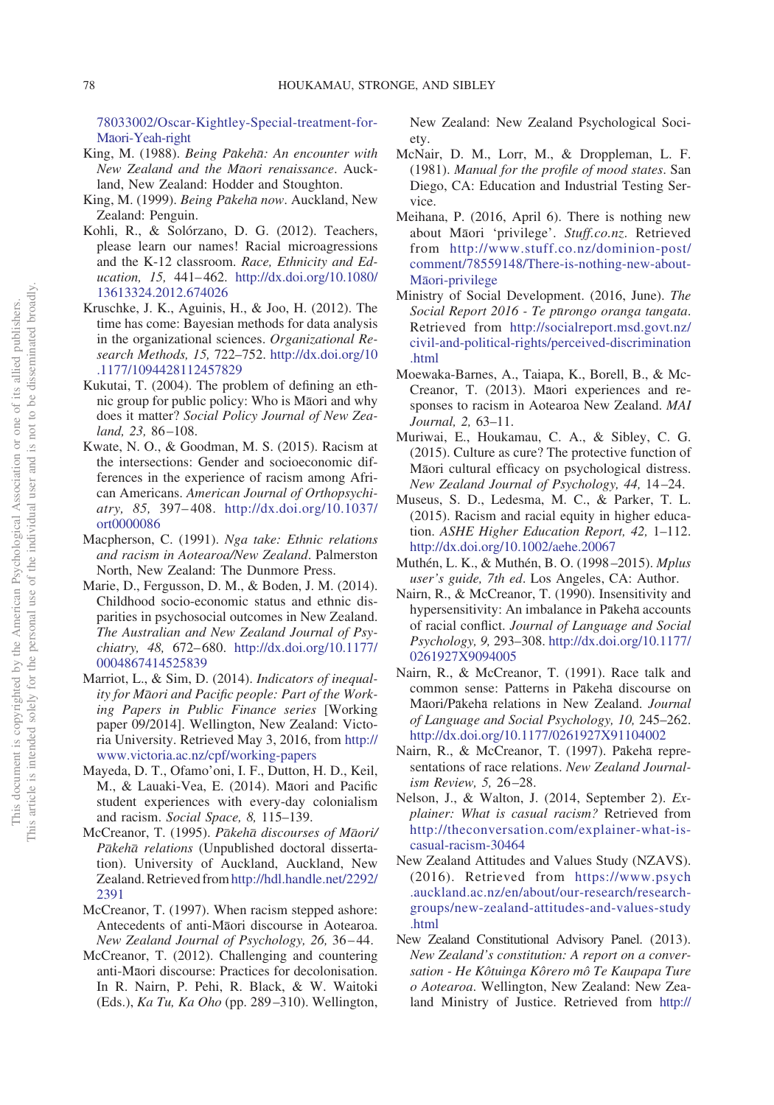78033002/Oscar-Kightley-Special-treatment-forMā[ori-Yeah-right](http://www.stuff.co.nz/national/politics/78033002/Oscar-Kightley-Special-treatment-for-Maori-Yeah-right)

- <span id="page-17-1"></span>King, M. (1988). *Being Pākehā: An encounter with New Zealand and the Ma*-*ori renaissance*. Auckland, New Zealand: Hodder and Stoughton.
- <span id="page-17-2"></span>King, M. (1999). *Being Pakeha now*. Auckland, New Zealand: Penguin.
- <span id="page-17-24"></span>Kohli, R., & Solórzano, D. G. (2012). Teachers, please learn our names! Racial microagressions and the K-12 classroom. *Race, Ethnicity and Education, 15,* 441–462. [http://dx.doi.org/10.1080/](http://dx.doi.org/10.1080/13613324.2012.674026) [13613324.2012.674026](http://dx.doi.org/10.1080/13613324.2012.674026)
- <span id="page-17-17"></span>Kruschke, J. K., Aguinis, H., & Joo, H. (2012). The time has come: Bayesian methods for data analysis in the organizational sciences. *Organizational Research Methods, 15,* 722–752. [http://dx.doi.org/10](http://dx.doi.org/10.1177/1094428112457829) [.1177/1094428112457829](http://dx.doi.org/10.1177/1094428112457829)
- <span id="page-17-10"></span>Kukutai, T. (2004). The problem of defining an ethnic group for public policy: Who is Māori and why does it matter? *Social Policy Journal of New Zealand, 23,* 86–108.
- <span id="page-17-12"></span>Kwate, N. O., & Goodman, M. S. (2015). Racism at the intersections: Gender and socioeconomic differences in the experience of racism among African Americans. *American Journal of Orthopsychiatry, 85,* 397–408. [http://dx.doi.org/10.1037/](http://dx.doi.org/10.1037/ort0000086) [ort0000086](http://dx.doi.org/10.1037/ort0000086)
- <span id="page-17-3"></span>Macpherson, C. (1991). *Nga take: Ethnic relations and racism in Aotearoa/New Zealand*. Palmerston North, New Zealand: The Dunmore Press.
- <span id="page-17-6"></span>Marie, D., Fergusson, D. M., & Boden, J. M. (2014). Childhood socio-economic status and ethnic disparities in psychosocial outcomes in New Zealand. *The Australian and New Zealand Journal of Psychiatry, 48,* 672–680. [http://dx.doi.org/10.1177/](http://dx.doi.org/10.1177/0004867414525839) [0004867414525839](http://dx.doi.org/10.1177/0004867414525839)
- <span id="page-17-5"></span>Marriot, L., & Sim, D. (2014). *Indicators of inequal*ity for M<del>a</del>ori and Pacific people: Part of the Work*ing Papers in Public Finance series* [Working paper 09/2014]. Wellington, New Zealand: Victoria University. Retrieved May 3, 2016, from [http://](http://www.victoria.ac.nz/cpf/working-papers) [www.victoria.ac.nz/cpf/working-papers](http://www.victoria.ac.nz/cpf/working-papers)
- <span id="page-17-8"></span>Mayeda, D. T., Ofamo'oni, I. F., Dutton, H. D., Keil, M., & Lauaki-Vea, E. (2014). Māori and Pacific student experiences with every-day colonialism and racism. *Social Space, 8,* 115–139.
- <span id="page-17-22"></span>McCreanor, T. (1995). Pākehā discourses of Māori/ Pakeha relations (Unpublished doctoral dissertation). University of Auckland, Auckland, New Zealand. Retrieved from[http://hdl.handle.net/2292/](http://hdl.handle.net/2292/2391) [2391](http://hdl.handle.net/2292/2391)
- <span id="page-17-23"></span>McCreanor, T. (1997). When racism stepped ashore: Antecedents of anti-Maori discourse in Aotearoa. *New Zealand Journal of Psychology, 26,* 36–44.
- <span id="page-17-21"></span>McCreanor, T. (2012). Challenging and countering anti-Māori discourse: Practices for decolonisation. In R. Nairn, P. Pehi, R. Black, & W. Waitoki (Eds.), *Ka Tu, Ka Oho* (pp. 289–310). Wellington,

New Zealand: New Zealand Psychological Society.

- <span id="page-17-16"></span>McNair, D. M., Lorr, M., & Droppleman, L. F. (1981). *Manual for the profile of mood states*. San Diego, CA: Education and Industrial Testing Service.
- <span id="page-17-4"></span>Meihana, P. (2016, April 6). There is nothing new about Maori 'privilege'. Stuff.co.nz. Retrieved from [http://www.stuff.co.nz/dominion-post/](http://www.stuff.co.nz/dominion-post/comment/78559148/There-is-nothing-new-about-Maori-privilege) [comment/78559148/There-is-nothing-new-about](http://www.stuff.co.nz/dominion-post/comment/78559148/There-is-nothing-new-about-Maori-privilege)M<del>a</del>[ori-privilege](http://www.stuff.co.nz/dominion-post/comment/78559148/There-is-nothing-new-about-Maori-privilege)
- <span id="page-17-9"></span>Ministry of Social Development. (2016, June). *The Social Report 2016 - Te pu*-*rongo oranga tangata*. Retrieved from [http://socialreport.msd.govt.nz/](http://socialreport.msd.govt.nz/civil-and-political-rights/perceived-discrimination.html) [civil-and-political-rights/perceived-discrimination](http://socialreport.msd.govt.nz/civil-and-political-rights/perceived-discrimination.html) [.html](http://socialreport.msd.govt.nz/civil-and-political-rights/perceived-discrimination.html)
- <span id="page-17-13"></span>Moewaka-Barnes, A., Taiapa, K., Borell, B., & Mc-Creanor, T. (2013). Maori experiences and responses to racism in Aotearoa New Zealand. *MAI Journal, 2,* 63–11.
- <span id="page-17-25"></span>Muriwai, E., Houkamau, C. A., & Sibley, C. G. (2015). Culture as cure? The protective function of Māori cultural efficacy on psychological distress. *New Zealand Journal of Psychology, 44,* 14–24.
- <span id="page-17-11"></span>Museus, S. D., Ledesma, M. C., & Parker, T. L. (2015). Racism and racial equity in higher education. *ASHE Higher Education Report, 42,* 1–112. <http://dx.doi.org/10.1002/aehe.20067>
- <span id="page-17-15"></span>Muthén, L. K., & Muthén, B. O. (1998–2015). *Mplus user's guide, 7th ed*. Los Angeles, CA: Author.
- <span id="page-17-18"></span>Nairn, R., & McCreanor, T. (1990). Insensitivity and hypersensitivity: An imbalance in Pākehā accounts of racial conflict. *Journal of Language and Social Psychology, 9,* 293–308. [http://dx.doi.org/10.1177/](http://dx.doi.org/10.1177/0261927X9094005) [0261927X9094005](http://dx.doi.org/10.1177/0261927X9094005)
- <span id="page-17-19"></span>Nairn, R., & McCreanor, T. (1991). Race talk and common sense: Patterns in Pākehā discourse on Māori/Pākehā relations in New Zealand. *Journal of Language and Social Psychology, 10,* 245–262. <http://dx.doi.org/10.1177/0261927X91104002>
- <span id="page-17-20"></span>Nairn, R., & McCreanor, T. (1997). Pākehā representations of race relations. *New Zealand Journalism Review, 5,* 26–28.
- <span id="page-17-7"></span>Nelson, J., & Walton, J. (2014, September 2). *Explainer: What is casual racism?* Retrieved from [http://theconversation.com/explainer-what-is](http://theconversation.com/explainer-what-is-casual-racism-30464)[casual-racism-30464](http://theconversation.com/explainer-what-is-casual-racism-30464)
- <span id="page-17-14"></span>New Zealand Attitudes and Values Study (NZAVS). (2016). Retrieved from [https://www.psych](https://www.psych.auckland.ac.nz/en/about/our-research/research-groups/new-zealand-attitudes-and-values-study.html) [.auckland.ac.nz/en/about/our-research/research](https://www.psych.auckland.ac.nz/en/about/our-research/research-groups/new-zealand-attitudes-and-values-study.html)[groups/new-zealand-attitudes-and-values-study](https://www.psych.auckland.ac.nz/en/about/our-research/research-groups/new-zealand-attitudes-and-values-study.html) [.html](https://www.psych.auckland.ac.nz/en/about/our-research/research-groups/new-zealand-attitudes-and-values-study.html)
- <span id="page-17-0"></span>New Zealand Constitutional Advisory Panel. (2013). *New Zealand's constitution: A report on a conversation - He Kôtuinga Kôrero mô Te Kaupapa Ture o Aotearoa*. Wellington, New Zealand: New Zealand Ministry of Justice. Retrieved from [http://](http://www.ourconstitution.org.nz/store/doc/FR_Full_Report.pdf)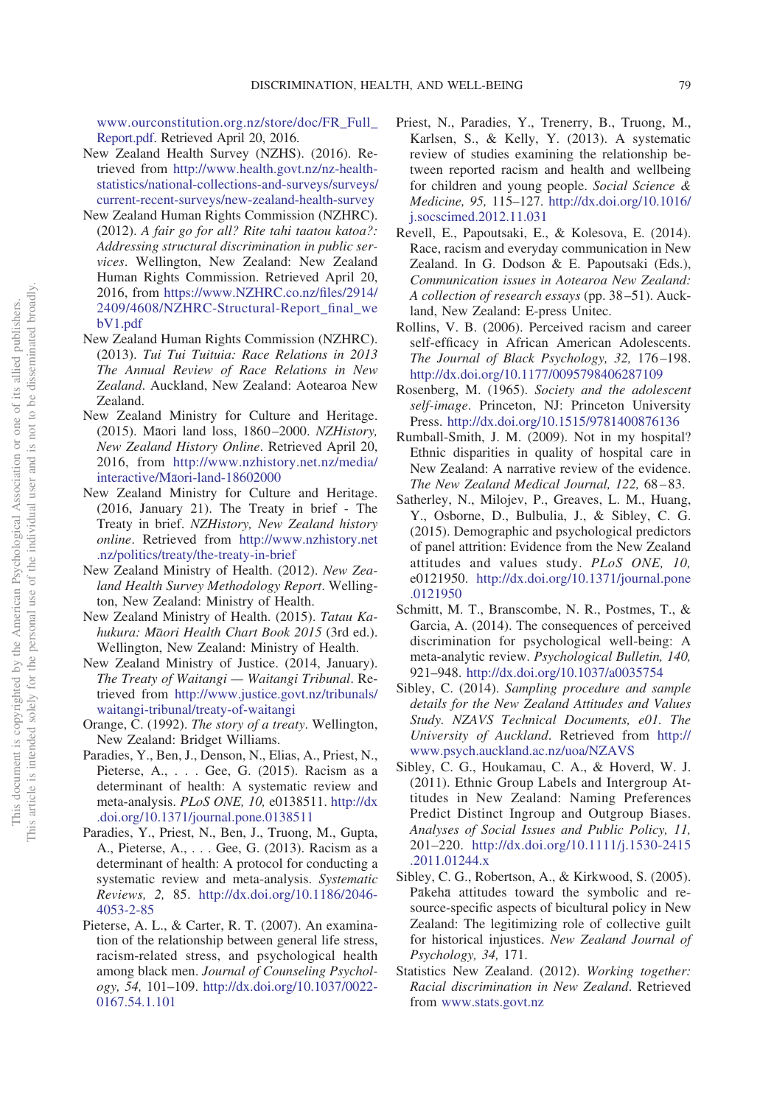www.ourconstitution.org.nz/store/doc/FR\_Full\_ [Report.pdf.](http://www.ourconstitution.org.nz/store/doc/FR_Full_Report.pdf) Retrieved April 20, 2016.

- <span id="page-18-10"></span>New Zealand Health Survey (NZHS). (2016). Retrieved from [http://www.health.govt.nz/nz-health](http://www.health.govt.nz/nz-health-statistics/national-collections-and-surveys/surveys/current-recent-surveys/new-zealand-health-survey)[statistics/national-collections-and-surveys/surveys/](http://www.health.govt.nz/nz-health-statistics/national-collections-and-surveys/surveys/current-recent-surveys/new-zealand-health-survey) [current-recent-surveys/new-zealand-health-survey](http://www.health.govt.nz/nz-health-statistics/national-collections-and-surveys/surveys/current-recent-surveys/new-zealand-health-survey)
- <span id="page-18-0"></span>New Zealand Human Rights Commission (NZHRC). (2012). *A fair go for all? Rite tahi taatou katoa?: Addressing structural discrimination in public services*. Wellington, New Zealand: New Zealand Human Rights Commission. Retrieved April 20, 2016, from [https://www.NZHRC.co.nz/files/2914/](https://www.NZHRC.co.nz/files/2914/2409/4608/NZHRC-Structural-Report_final_webV1.pdf) [2409/4608/NZHRC-Structural-Report\\_final\\_we](https://www.NZHRC.co.nz/files/2914/2409/4608/NZHRC-Structural-Report_final_webV1.pdf) [bV1.pdf](https://www.NZHRC.co.nz/files/2914/2409/4608/NZHRC-Structural-Report_final_webV1.pdf)
- <span id="page-18-1"></span>New Zealand Human Rights Commission (NZHRC). (2013). *Tui Tui Tuituia: Race Relations in 2013 The Annual Review of Race Relations in New Zealand*. Auckland, New Zealand: Aotearoa New Zealand.
- <span id="page-18-5"></span>New Zealand Ministry for Culture and Heritage. (2015). Māori land loss, 1860-2000. *NZHistory*, *New Zealand History Online*. Retrieved April 20, 2016, from [http://www.nzhistory.net.nz/media/](http://www.nzhistory.net.nz/media/interactive/Maori-land-18602000) interactive/Mā[ori-land-18602000](http://www.nzhistory.net.nz/media/interactive/Maori-land-18602000)
- <span id="page-18-4"></span>New Zealand Ministry for Culture and Heritage. (2016, January 21). The Treaty in brief - The Treaty in brief. *NZHistory, New Zealand history online*. Retrieved from [http://www.nzhistory.net](http://www.nzhistory.net.nz/politics/treaty/the-treaty-in-brief) [.nz/politics/treaty/the-treaty-in-brief](http://www.nzhistory.net.nz/politics/treaty/the-treaty-in-brief)
- <span id="page-18-13"></span>New Zealand Ministry of Health. (2012). *New Zealand Health Survey Methodology Report*. Wellington, New Zealand: Ministry of Health.
- <span id="page-18-9"></span>New Zealand Ministry of Health. (2015). *Tatau Kahukura: Ma*-*ori Health Chart Book 2015* (3rd ed.). Wellington, New Zealand: Ministry of Health.
- <span id="page-18-6"></span>New Zealand Ministry of Justice. (2014, January). *The Treaty of Waitangi — Waitangi Tribunal*. Retrieved from [http://www.justice.govt.nz/tribunals/](http://www.justice.govt.nz/tribunals/waitangi-tribunal/treaty-of-waitangi) [waitangi-tribunal/treaty-of-waitangi](http://www.justice.govt.nz/tribunals/waitangi-tribunal/treaty-of-waitangi)
- <span id="page-18-7"></span>Orange, C. (1992). *The story of a treaty*. Wellington, New Zealand: Bridget Williams.
- <span id="page-18-2"></span>Paradies, Y., Ben, J., Denson, N., Elias, A., Priest, N., Pieterse, A.,... Gee, G. (2015). Racism as a determinant of health: A systematic review and meta-analysis. *PLoS ONE, 10,* e0138511. [http://dx](http://dx.doi.org/10.1371/journal.pone.0138511) [.doi.org/10.1371/journal.pone.0138511](http://dx.doi.org/10.1371/journal.pone.0138511)
- <span id="page-18-16"></span>Paradies, Y., Priest, N., Ben, J., Truong, M., Gupta, A., Pieterse, A.,... Gee, G. (2013). Racism as a determinant of health: A protocol for conducting a systematic review and meta-analysis. *Systematic Reviews, 2,* 85. [http://dx.doi.org/10.1186/2046-](http://dx.doi.org/10.1186/2046-4053-2-85) [4053-2-85](http://dx.doi.org/10.1186/2046-4053-2-85)
- <span id="page-18-18"></span>Pieterse, A. L., & Carter, R. T. (2007). An examination of the relationship between general life stress, racism-related stress, and psychological health among black men. *Journal of Counseling Psychology, 54,* 101–109. [http://dx.doi.org/10.1037/0022-](http://dx.doi.org/10.1037/0022-0167.54.1.101) [0167.54.1.101](http://dx.doi.org/10.1037/0022-0167.54.1.101)
- <span id="page-18-17"></span>Priest, N., Paradies, Y., Trenerry, B., Truong, M., Karlsen, S., & Kelly, Y. (2013). A systematic review of studies examining the relationship between reported racism and health and wellbeing for children and young people. *Social Science & Medicine, 95,* 115–127. [http://dx.doi.org/10.1016/](http://dx.doi.org/10.1016/j.socscimed.2012.11.031) [j.socscimed.2012.11.031](http://dx.doi.org/10.1016/j.socscimed.2012.11.031)
- <span id="page-18-11"></span>Revell, E., Papoutsaki, E., & Kolesova, E. (2014). Race, racism and everyday communication in New Zealand. In G. Dodson & E. Papoutsaki (Eds.), *Communication issues in Aotearoa New Zealand: A collection of research essays* (pp. 38–51). Auckland, New Zealand: E-press Unitec.
- <span id="page-18-15"></span>Rollins, V. B. (2006). Perceived racism and career self-efficacy in African American Adolescents. *The Journal of Black Psychology, 32,* 176–198. <http://dx.doi.org/10.1177/0095798406287109>
- <span id="page-18-21"></span>Rosenberg, M. (1965). *Society and the adolescent self-image*. Princeton, NJ: Princeton University Press. <http://dx.doi.org/10.1515/9781400876136>
- <span id="page-18-12"></span>Rumball-Smith, J. M. (2009). Not in my hospital? Ethnic disparities in quality of hospital care in New Zealand: A narrative review of the evidence. *The New Zealand Medical Journal, 122,* 68–83.
- <span id="page-18-20"></span>Satherley, N., Milojev, P., Greaves, L. M., Huang, Y., Osborne, D., Bulbulia, J., & Sibley, C. G. (2015). Demographic and psychological predictors of panel attrition: Evidence from the New Zealand attitudes and values study. *PLoS ONE, 10,* e0121950. [http://dx.doi.org/10.1371/journal.pone](http://dx.doi.org/10.1371/journal.pone.0121950) [.0121950](http://dx.doi.org/10.1371/journal.pone.0121950)
- <span id="page-18-22"></span>Schmitt, M. T., Branscombe, N. R., Postmes, T., & Garcia, A. (2014). The consequences of perceived discrimination for psychological well-being: A meta-analytic review. *Psychological Bulletin, 140,* 921–948. <http://dx.doi.org/10.1037/a0035754>
- <span id="page-18-19"></span>Sibley, C. (2014). *Sampling procedure and sample details for the New Zealand Attitudes and Values Study. NZAVS Technical Documents, e01. The University of Auckland*. Retrieved from [http://](http://www.psych.auckland.ac.nz/uoa/NZAVS) [www.psych.auckland.ac.nz/uoa/NZAVS](http://www.psych.auckland.ac.nz/uoa/NZAVS)
- <span id="page-18-3"></span>Sibley, C. G., Houkamau, C. A., & Hoverd, W. J. (2011). Ethnic Group Labels and Intergroup Attitudes in New Zealand: Naming Preferences Predict Distinct Ingroup and Outgroup Biases. *Analyses of Social Issues and Public Policy, 11,* 201–220. [http://dx.doi.org/10.1111/j.1530-2415](http://dx.doi.org/10.1111/j.1530-2415.2011.01244.x) [.2011.01244.x](http://dx.doi.org/10.1111/j.1530-2415.2011.01244.x)
- <span id="page-18-8"></span>Sibley, C. G., Robertson, A., & Kirkwood, S. (2005). Pakeha attitudes toward the symbolic and resource-specific aspects of bicultural policy in New Zealand: The legitimizing role of collective guilt for historical injustices. *New Zealand Journal of Psychology, 34,* 171.
- <span id="page-18-14"></span>Statistics New Zealand. (2012). *Working together: Racial discrimination in New Zealand*. Retrieved from [www.stats.govt.nz](http://www.stats.govt.nz)